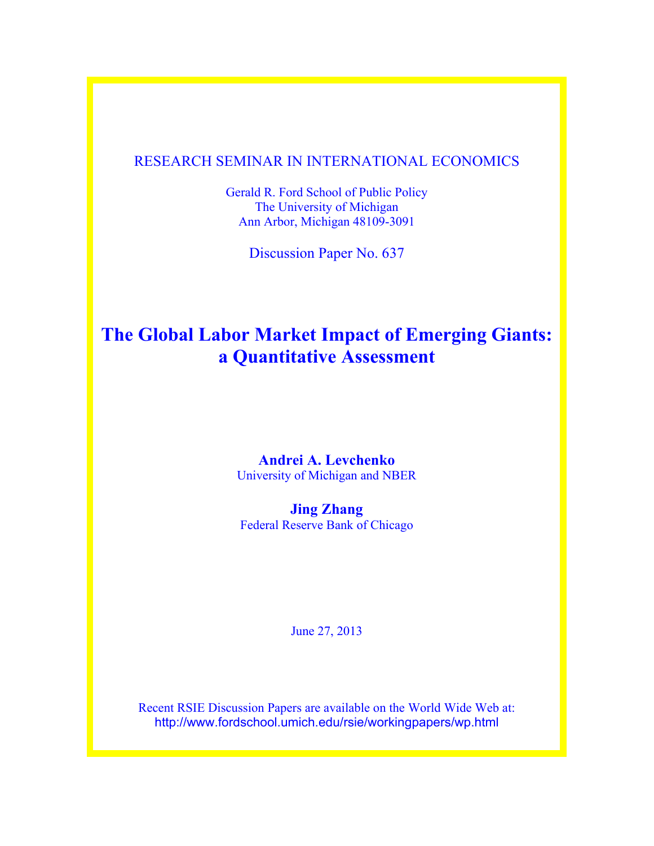# RESEARCH SEMINAR IN INTERNATIONAL ECONOMICS

Gerald R. Ford School of Public Policy The University of Michigan Ann Arbor, Michigan 48109-3091

Discussion Paper No. 637

# **The Global Labor Market Impact of Emerging Giants: a Quantitative Assessment**

# **Andrei A. Levchenko**

University of Michigan and NBER

**Jing Zhang** Federal Reserve Bank of Chicago

June 27, 2013

Recent RSIE Discussion Papers are available on the World Wide Web at: http://www.fordschool.umich.edu/rsie/workingpapers/wp.html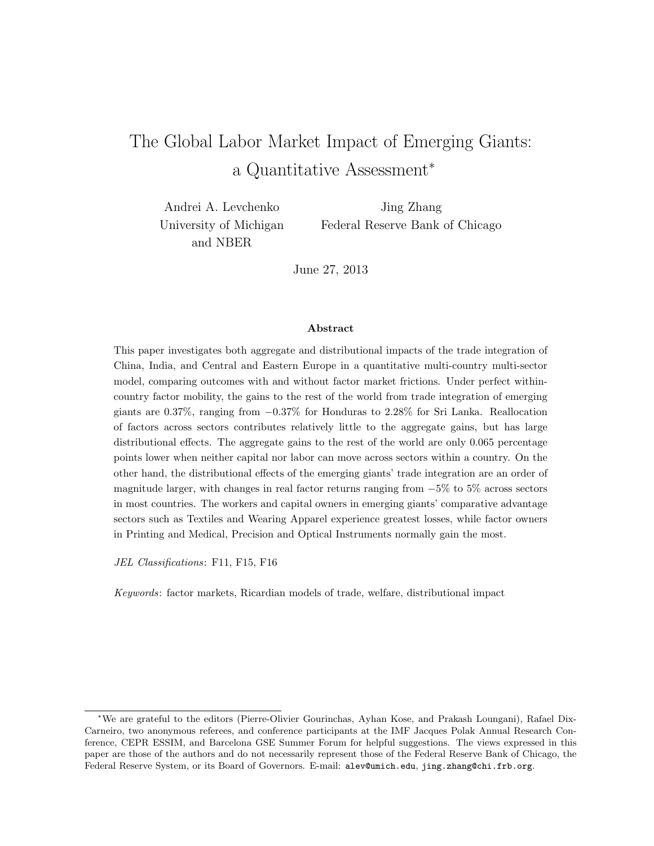# The Global Labor Market Impact of Emerging Giants: a Quantitative Assessment<sup>∗</sup>

Andrei A. Levchenko University of Michigan and NBER

Jing Zhang Federal Reserve Bank of Chicago

June 27, 2013

#### Abstract

This paper investigates both aggregate and distributional impacts of the trade integration of China, India, and Central and Eastern Europe in a quantitative multi-country multi-sector model, comparing outcomes with and without factor market frictions. Under perfect withincountry factor mobility, the gains to the rest of the world from trade integration of emerging giants are 0.37%, ranging from −0.37% for Honduras to 2.28% for Sri Lanka. Reallocation of factors across sectors contributes relatively little to the aggregate gains, but has large distributional effects. The aggregate gains to the rest of the world are only 0.065 percentage points lower when neither capital nor labor can move across sectors within a country. On the other hand, the distributional effects of the emerging giants' trade integration are an order of magnitude larger, with changes in real factor returns ranging from  $-5\%$  to  $5\%$  across sectors in most countries. The workers and capital owners in emerging giants' comparative advantage sectors such as Textiles and Wearing Apparel experience greatest losses, while factor owners in Printing and Medical, Precision and Optical Instruments normally gain the most.

JEL Classifications: F11, F15, F16

Keywords: factor markets, Ricardian models of trade, welfare, distributional impact

<sup>∗</sup>We are grateful to the editors (Pierre-Olivier Gourinchas, Ayhan Kose, and Prakash Loungani), Rafael Dix-Carneiro, two anonymous referees, and conference participants at the IMF Jacques Polak Annual Research Conference, CEPR ESSIM, and Barcelona GSE Summer Forum for helpful suggestions. The views expressed in this paper are those of the authors and do not necessarily represent those of the Federal Reserve Bank of Chicago, the Federal Reserve System, or its Board of Governors. E-mail: alev@umich.edu, jing.zhang@chi.frb.org.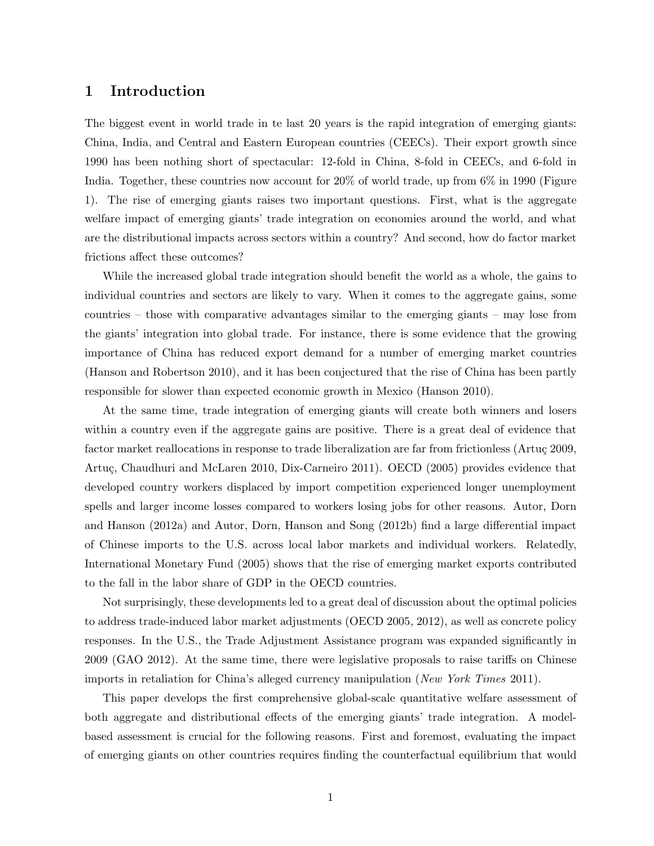# 1 Introduction

The biggest event in world trade in te last 20 years is the rapid integration of emerging giants: China, India, and Central and Eastern European countries (CEECs). Their export growth since 1990 has been nothing short of spectacular: 12-fold in China, 8-fold in CEECs, and 6-fold in India. Together, these countries now account for 20% of world trade, up from 6% in 1990 (Figure 1). The rise of emerging giants raises two important questions. First, what is the aggregate welfare impact of emerging giants' trade integration on economies around the world, and what are the distributional impacts across sectors within a country? And second, how do factor market frictions affect these outcomes?

While the increased global trade integration should benefit the world as a whole, the gains to individual countries and sectors are likely to vary. When it comes to the aggregate gains, some countries – those with comparative advantages similar to the emerging giants – may lose from the giants' integration into global trade. For instance, there is some evidence that the growing importance of China has reduced export demand for a number of emerging market countries (Hanson and Robertson 2010), and it has been conjectured that the rise of China has been partly responsible for slower than expected economic growth in Mexico (Hanson 2010).

At the same time, trade integration of emerging giants will create both winners and losers within a country even if the aggregate gains are positive. There is a great deal of evidence that factor market reallocations in response to trade liberalization are far from frictionless (Artuç 2009, Artuç, Chaudhuri and McLaren 2010, Dix-Carneiro 2011). OECD (2005) provides evidence that developed country workers displaced by import competition experienced longer unemployment spells and larger income losses compared to workers losing jobs for other reasons. Autor, Dorn and Hanson (2012a) and Autor, Dorn, Hanson and Song (2012b) find a large differential impact of Chinese imports to the U.S. across local labor markets and individual workers. Relatedly, International Monetary Fund (2005) shows that the rise of emerging market exports contributed to the fall in the labor share of GDP in the OECD countries.

Not surprisingly, these developments led to a great deal of discussion about the optimal policies to address trade-induced labor market adjustments (OECD 2005, 2012), as well as concrete policy responses. In the U.S., the Trade Adjustment Assistance program was expanded significantly in 2009 (GAO 2012). At the same time, there were legislative proposals to raise tariffs on Chinese imports in retaliation for China's alleged currency manipulation (New York Times 2011).

This paper develops the first comprehensive global-scale quantitative welfare assessment of both aggregate and distributional effects of the emerging giants' trade integration. A modelbased assessment is crucial for the following reasons. First and foremost, evaluating the impact of emerging giants on other countries requires finding the counterfactual equilibrium that would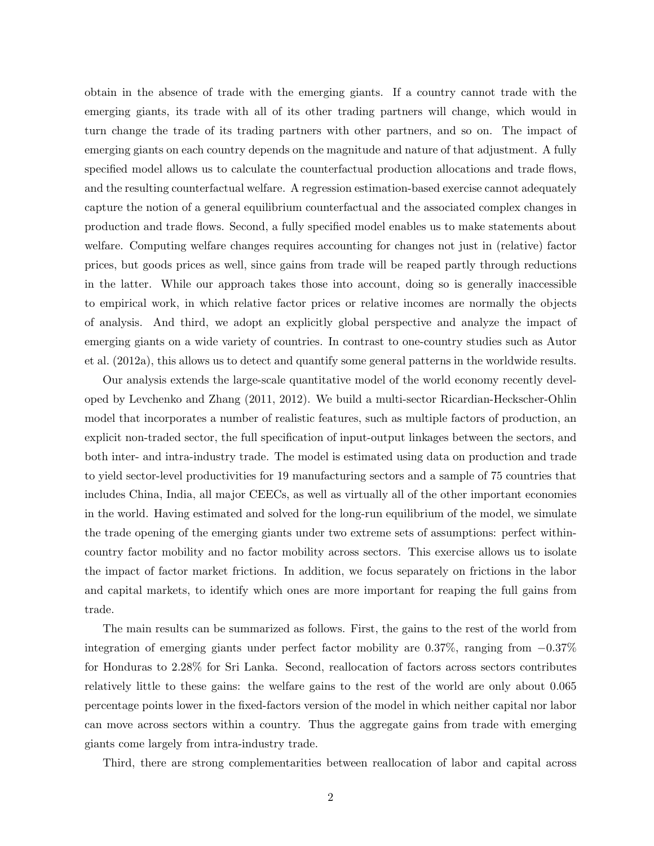obtain in the absence of trade with the emerging giants. If a country cannot trade with the emerging giants, its trade with all of its other trading partners will change, which would in turn change the trade of its trading partners with other partners, and so on. The impact of emerging giants on each country depends on the magnitude and nature of that adjustment. A fully specified model allows us to calculate the counterfactual production allocations and trade flows, and the resulting counterfactual welfare. A regression estimation-based exercise cannot adequately capture the notion of a general equilibrium counterfactual and the associated complex changes in production and trade flows. Second, a fully specified model enables us to make statements about welfare. Computing welfare changes requires accounting for changes not just in (relative) factor prices, but goods prices as well, since gains from trade will be reaped partly through reductions in the latter. While our approach takes those into account, doing so is generally inaccessible to empirical work, in which relative factor prices or relative incomes are normally the objects of analysis. And third, we adopt an explicitly global perspective and analyze the impact of emerging giants on a wide variety of countries. In contrast to one-country studies such as Autor et al. (2012a), this allows us to detect and quantify some general patterns in the worldwide results.

Our analysis extends the large-scale quantitative model of the world economy recently developed by Levchenko and Zhang (2011, 2012). We build a multi-sector Ricardian-Heckscher-Ohlin model that incorporates a number of realistic features, such as multiple factors of production, an explicit non-traded sector, the full specification of input-output linkages between the sectors, and both inter- and intra-industry trade. The model is estimated using data on production and trade to yield sector-level productivities for 19 manufacturing sectors and a sample of 75 countries that includes China, India, all major CEECs, as well as virtually all of the other important economies in the world. Having estimated and solved for the long-run equilibrium of the model, we simulate the trade opening of the emerging giants under two extreme sets of assumptions: perfect withincountry factor mobility and no factor mobility across sectors. This exercise allows us to isolate the impact of factor market frictions. In addition, we focus separately on frictions in the labor and capital markets, to identify which ones are more important for reaping the full gains from trade.

The main results can be summarized as follows. First, the gains to the rest of the world from integration of emerging giants under perfect factor mobility are 0.37%, ranging from −0.37% for Honduras to 2.28% for Sri Lanka. Second, reallocation of factors across sectors contributes relatively little to these gains: the welfare gains to the rest of the world are only about 0.065 percentage points lower in the fixed-factors version of the model in which neither capital nor labor can move across sectors within a country. Thus the aggregate gains from trade with emerging giants come largely from intra-industry trade.

Third, there are strong complementarities between reallocation of labor and capital across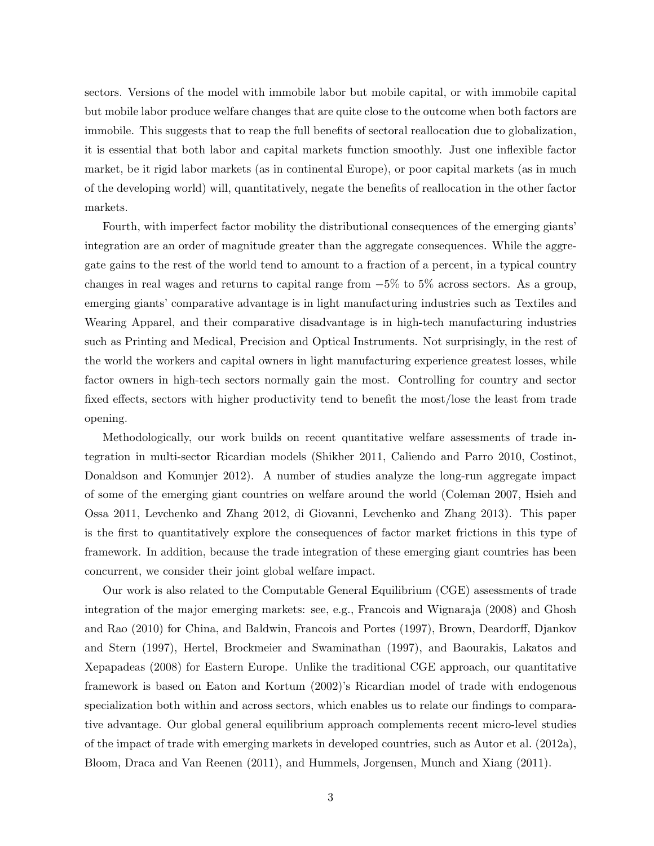sectors. Versions of the model with immobile labor but mobile capital, or with immobile capital but mobile labor produce welfare changes that are quite close to the outcome when both factors are immobile. This suggests that to reap the full benefits of sectoral reallocation due to globalization, it is essential that both labor and capital markets function smoothly. Just one inflexible factor market, be it rigid labor markets (as in continental Europe), or poor capital markets (as in much of the developing world) will, quantitatively, negate the benefits of reallocation in the other factor markets.

Fourth, with imperfect factor mobility the distributional consequences of the emerging giants' integration are an order of magnitude greater than the aggregate consequences. While the aggregate gains to the rest of the world tend to amount to a fraction of a percent, in a typical country changes in real wages and returns to capital range from  $-5\%$  to  $5\%$  across sectors. As a group, emerging giants' comparative advantage is in light manufacturing industries such as Textiles and Wearing Apparel, and their comparative disadvantage is in high-tech manufacturing industries such as Printing and Medical, Precision and Optical Instruments. Not surprisingly, in the rest of the world the workers and capital owners in light manufacturing experience greatest losses, while factor owners in high-tech sectors normally gain the most. Controlling for country and sector fixed effects, sectors with higher productivity tend to benefit the most/lose the least from trade opening.

Methodologically, our work builds on recent quantitative welfare assessments of trade integration in multi-sector Ricardian models (Shikher 2011, Caliendo and Parro 2010, Costinot, Donaldson and Komunjer 2012). A number of studies analyze the long-run aggregate impact of some of the emerging giant countries on welfare around the world (Coleman 2007, Hsieh and Ossa 2011, Levchenko and Zhang 2012, di Giovanni, Levchenko and Zhang 2013). This paper is the first to quantitatively explore the consequences of factor market frictions in this type of framework. In addition, because the trade integration of these emerging giant countries has been concurrent, we consider their joint global welfare impact.

Our work is also related to the Computable General Equilibrium (CGE) assessments of trade integration of the major emerging markets: see, e.g., Francois and Wignaraja (2008) and Ghosh and Rao (2010) for China, and Baldwin, Francois and Portes (1997), Brown, Deardorff, Djankov and Stern (1997), Hertel, Brockmeier and Swaminathan (1997), and Baourakis, Lakatos and Xepapadeas (2008) for Eastern Europe. Unlike the traditional CGE approach, our quantitative framework is based on Eaton and Kortum (2002)'s Ricardian model of trade with endogenous specialization both within and across sectors, which enables us to relate our findings to comparative advantage. Our global general equilibrium approach complements recent micro-level studies of the impact of trade with emerging markets in developed countries, such as Autor et al. (2012a), Bloom, Draca and Van Reenen (2011), and Hummels, Jorgensen, Munch and Xiang (2011).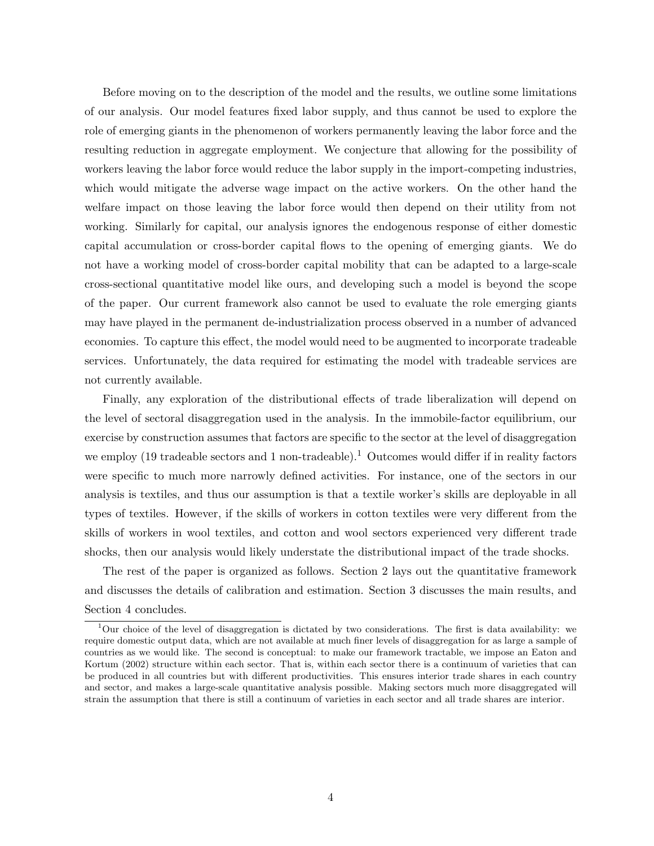Before moving on to the description of the model and the results, we outline some limitations of our analysis. Our model features fixed labor supply, and thus cannot be used to explore the role of emerging giants in the phenomenon of workers permanently leaving the labor force and the resulting reduction in aggregate employment. We conjecture that allowing for the possibility of workers leaving the labor force would reduce the labor supply in the import-competing industries, which would mitigate the adverse wage impact on the active workers. On the other hand the welfare impact on those leaving the labor force would then depend on their utility from not working. Similarly for capital, our analysis ignores the endogenous response of either domestic capital accumulation or cross-border capital flows to the opening of emerging giants. We do not have a working model of cross-border capital mobility that can be adapted to a large-scale cross-sectional quantitative model like ours, and developing such a model is beyond the scope of the paper. Our current framework also cannot be used to evaluate the role emerging giants may have played in the permanent de-industrialization process observed in a number of advanced economies. To capture this effect, the model would need to be augmented to incorporate tradeable services. Unfortunately, the data required for estimating the model with tradeable services are not currently available.

Finally, any exploration of the distributional effects of trade liberalization will depend on the level of sectoral disaggregation used in the analysis. In the immobile-factor equilibrium, our exercise by construction assumes that factors are specific to the sector at the level of disaggregation we employ (19 tradeable sectors and 1 non-tradeable).<sup>1</sup> Outcomes would differ if in reality factors were specific to much more narrowly defined activities. For instance, one of the sectors in our analysis is textiles, and thus our assumption is that a textile worker's skills are deployable in all types of textiles. However, if the skills of workers in cotton textiles were very different from the skills of workers in wool textiles, and cotton and wool sectors experienced very different trade shocks, then our analysis would likely understate the distributional impact of the trade shocks.

The rest of the paper is organized as follows. Section 2 lays out the quantitative framework and discusses the details of calibration and estimation. Section 3 discusses the main results, and Section 4 concludes.

<sup>&</sup>lt;sup>1</sup>Our choice of the level of disaggregation is dictated by two considerations. The first is data availability: we require domestic output data, which are not available at much finer levels of disaggregation for as large a sample of countries as we would like. The second is conceptual: to make our framework tractable, we impose an Eaton and Kortum (2002) structure within each sector. That is, within each sector there is a continuum of varieties that can be produced in all countries but with different productivities. This ensures interior trade shares in each country and sector, and makes a large-scale quantitative analysis possible. Making sectors much more disaggregated will strain the assumption that there is still a continuum of varieties in each sector and all trade shares are interior.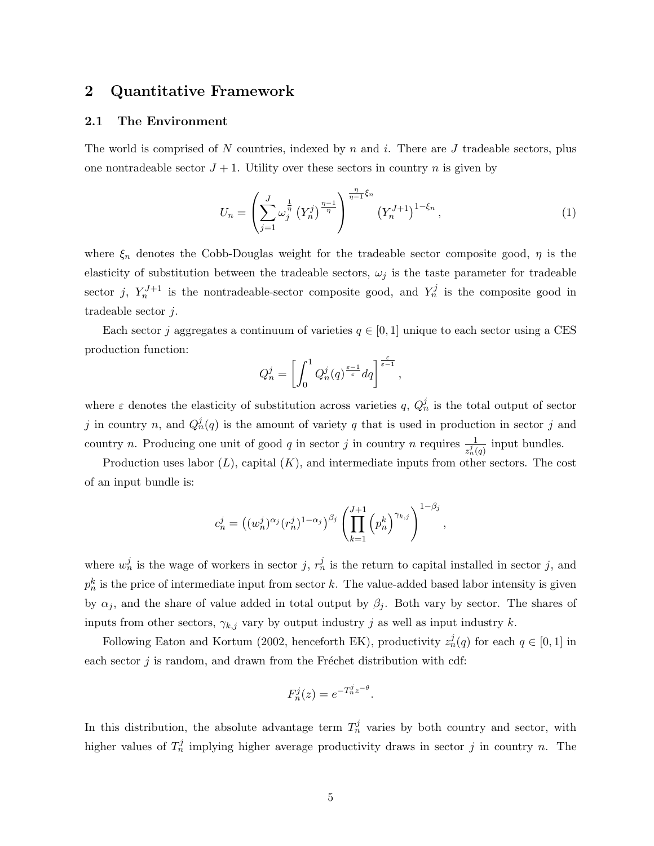## 2 Quantitative Framework

#### 2.1 The Environment

The world is comprised of N countries, indexed by n and i. There are J tradeable sectors, plus one nontradeable sector  $J + 1$ . Utility over these sectors in country n is given by

$$
U_n = \left(\sum_{j=1}^{J} \omega_j^{\frac{1}{\eta}} \left(Y_n^j\right)^{\frac{\eta-1}{\eta}}\right)^{\frac{\eta}{\eta-1}\xi_n} \left(Y_n^{J+1}\right)^{1-\xi_n},\tag{1}
$$

where  $\xi_n$  denotes the Cobb-Douglas weight for the tradeable sector composite good,  $\eta$  is the elasticity of substitution between the tradeable sectors,  $\omega_j$  is the taste parameter for tradeable sector j,  $Y_n^{J+1}$  is the nontradeable-sector composite good, and  $Y_n^j$  is the composite good in tradeable sector j.

Each sector j aggregates a continuum of varieties  $q \in [0, 1]$  unique to each sector using a CES production function:

$$
Q_n^j = \left[ \int_0^1 Q_n^j(q)^{\frac{\varepsilon-1}{\varepsilon}} dq \right]^{\frac{\varepsilon}{\varepsilon-1}},
$$

where  $\varepsilon$  denotes the elasticity of substitution across varieties q,  $Q_n^j$  is the total output of sector j in country n, and  $Q_n^j(q)$  is the amount of variety q that is used in production in sector j and country *n*. Producing one unit of good *q* in sector *j* in country *n* requires  $\frac{1}{z_n^j(q)}$  input bundles.

Production uses labor  $(L)$ , capital  $(K)$ , and intermediate inputs from other sectors. The cost of an input bundle is:

$$
c_n^j = \left( (w_n^j)^{\alpha_j} (r_n^j)^{1-\alpha_j} \right)^{\beta_j} \left( \prod_{k=1}^{J+1} \left( p_n^k \right)^{\gamma_{k,j}} \right)^{1-\beta_j},
$$

where  $w_n^j$  is the wage of workers in sector j,  $r_n^j$  is the return to capital installed in sector j, and  $p_n^k$  is the price of intermediate input from sector k. The value-added based labor intensity is given by  $\alpha_j$ , and the share of value added in total output by  $\beta_j$ . Both vary by sector. The shares of inputs from other sectors,  $\gamma_{k,j}$  vary by output industry j as well as input industry k.

Following Eaton and Kortum (2002, henceforth EK), productivity  $z_n^j(q)$  for each  $q \in [0,1]$  in each sector  $j$  is random, and drawn from the Fréchet distribution with cdf:

$$
F_n^j(z) = e^{-T_n^j z^{-\theta}}.
$$

In this distribution, the absolute advantage term  $T_n^j$  varies by both country and sector, with higher values of  $T_n^j$  implying higher average productivity draws in sector j in country n. The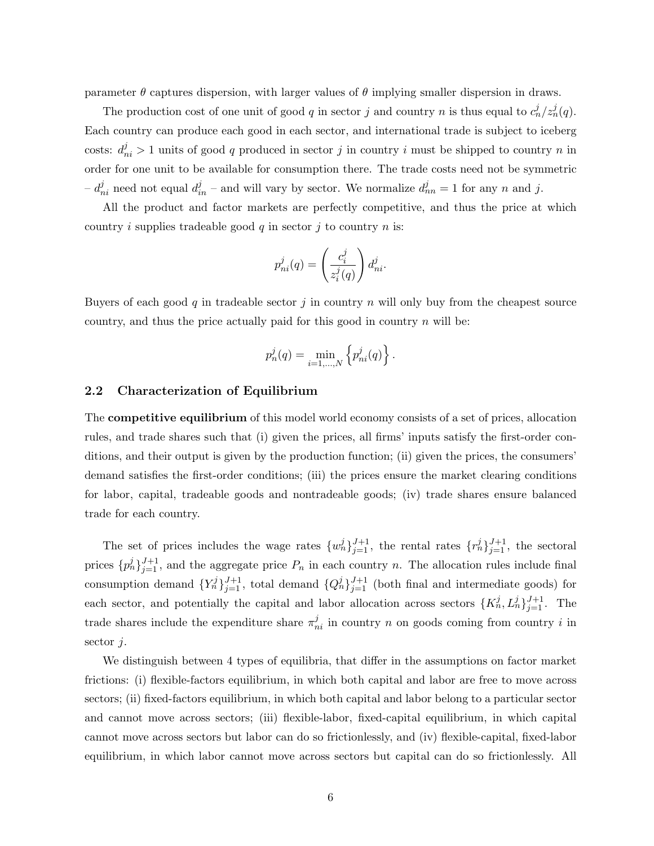parameter  $\theta$  captures dispersion, with larger values of  $\theta$  implying smaller dispersion in draws.

The production cost of one unit of good q in sector j and country n is thus equal to  $c_n^j/z_n^j(q)$ . Each country can produce each good in each sector, and international trade is subject to iceberg costs:  $d_{ni}^j > 1$  units of good q produced in sector j in country i must be shipped to country n in order for one unit to be available for consumption there. The trade costs need not be symmetric  $-d_{ni}^{j}$  need not equal  $d_{in}^{j}$  – and will vary by sector. We normalize  $d_{nn}^{j} = 1$  for any n and j.

All the product and factor markets are perfectly competitive, and thus the price at which country i supplies tradeable good  $q$  in sector  $j$  to country  $n$  is:

$$
p_{ni}^j(q) = \left(\frac{c_i^j}{z_i^j(q)}\right) d_{ni}^j.
$$

Buyers of each good  $q$  in tradeable sector  $j$  in country  $n$  will only buy from the cheapest source country, and thus the price actually paid for this good in country  $n$  will be:

$$
p_n^j(q) = \min_{i=1,\dots,N} \{p_{ni}^j(q)\}.
$$

#### 2.2 Characterization of Equilibrium

The competitive equilibrium of this model world economy consists of a set of prices, allocation rules, and trade shares such that (i) given the prices, all firms' inputs satisfy the first-order conditions, and their output is given by the production function; (ii) given the prices, the consumers' demand satisfies the first-order conditions; (iii) the prices ensure the market clearing conditions for labor, capital, tradeable goods and nontradeable goods; (iv) trade shares ensure balanced trade for each country.

The set of prices includes the wage rates  $\{w_n^j\}_{j=1}^{J+1}$ , the rental rates  $\{r_n^j\}_{j=1}^{J+1}$ , the sectoral prices  $\{p_n^j\}_{j=1}^{J+1}$ , and the aggregate price  $P_n$  in each country n. The allocation rules include final consumption demand  ${Y_n^j}_{j=1}^{j+1}$ , total demand  ${Q_n^j}_{j=1}^{j+1}$  (both final and intermediate goods) for each sector, and potentially the capital and labor allocation across sectors  $\{K_n^j, L_n^j\}_{j=1}^{J+1}$ . The trade shares include the expenditure share  $\pi_{ni}^j$  in country n on goods coming from country i in sector j.

We distinguish between 4 types of equilibria, that differ in the assumptions on factor market frictions: (i) flexible-factors equilibrium, in which both capital and labor are free to move across sectors; (ii) fixed-factors equilibrium, in which both capital and labor belong to a particular sector and cannot move across sectors; (iii) flexible-labor, fixed-capital equilibrium, in which capital cannot move across sectors but labor can do so frictionlessly, and (iv) flexible-capital, fixed-labor equilibrium, in which labor cannot move across sectors but capital can do so frictionlessly. All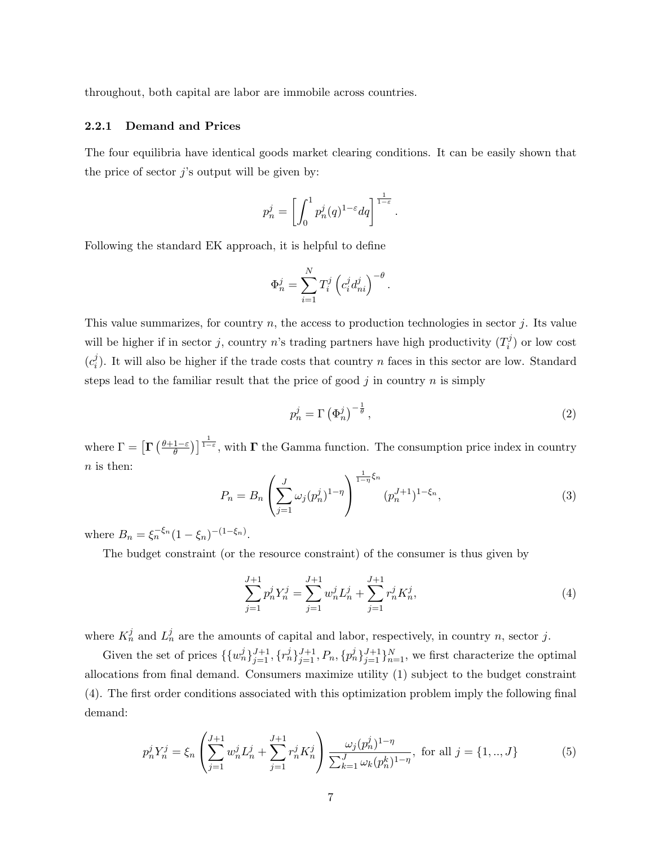throughout, both capital are labor are immobile across countries.

#### 2.2.1 Demand and Prices

The four equilibria have identical goods market clearing conditions. It can be easily shown that the price of sector  $j$ 's output will be given by:

$$
p_n^j = \left[ \int_0^1 p_n^j(q)^{1-\varepsilon} dq \right]^{\frac{1}{1-\varepsilon}}
$$

Following the standard EK approach, it is helpful to define

$$
\Phi_n^j = \sum_{i=1}^N T_i^j \left( c_i^j d_{ni}^j \right)^{-\theta}.
$$

This value summarizes, for country n, the access to production technologies in sector j. Its value will be higher if in sector j, country n's trading partners have high productivity  $(T_i^j)$  $i^j$ ) or low cost  $(c_i^j)$  $i<sub>i</sub>$ ). It will also be higher if the trade costs that country n faces in this sector are low. Standard steps lead to the familiar result that the price of good  $j$  in country  $n$  is simply

$$
p_n^j = \Gamma \left( \Phi_n^j \right)^{-\frac{1}{\theta}}, \tag{2}
$$

where  $\Gamma = \left[ \Gamma \left( \frac{\theta + 1 - \varepsilon}{\theta} \right) \right]$  $\frac{1-\varepsilon}{\theta}$ )  $\frac{1}{1-\varepsilon}$ , with  $\Gamma$  the Gamma function. The consumption price index in country  $n$  is then: 1

$$
P_n = B_n \left( \sum_{j=1}^J \omega_j (p_n^j)^{1-\eta} \right)^{\frac{1}{1-\eta} \xi_n} (p_n^{J+1})^{1-\xi_n}, \tag{3}
$$

.

where  $B_n = \xi_n^{-\xi_n} (1 - \xi_n)^{-(1 - \xi_n)}$ .

The budget constraint (or the resource constraint) of the consumer is thus given by

$$
\sum_{j=1}^{J+1} p_n^j Y_n^j = \sum_{j=1}^{J+1} w_n^j L_n^j + \sum_{j=1}^{J+1} r_n^j K_n^j,
$$
\n(4)

where  $K_n^j$  and  $L_n^j$  are the amounts of capital and labor, respectively, in country n, sector j.

Given the set of prices  $\{\{w_n^j\}_{j=1}^{J+1}, \{r_n^j\}_{j=1}^{J+1}, P_n, \{p_n^j\}_{j=1}^{J+1}\}_{n=1}^N$ , we first characterize the optimal allocations from final demand. Consumers maximize utility (1) subject to the budget constraint (4). The first order conditions associated with this optimization problem imply the following final demand:

$$
p_n^j Y_n^j = \xi_n \left( \sum_{j=1}^{J+1} w_n^j L_n^j + \sum_{j=1}^{J+1} r_n^j K_n^j \right) \frac{\omega_j (p_n^j)^{1-\eta}}{\sum_{k=1}^J \omega_k (p_n^k)^{1-\eta}}, \text{ for all } j = \{1, ..., J\}
$$
 (5)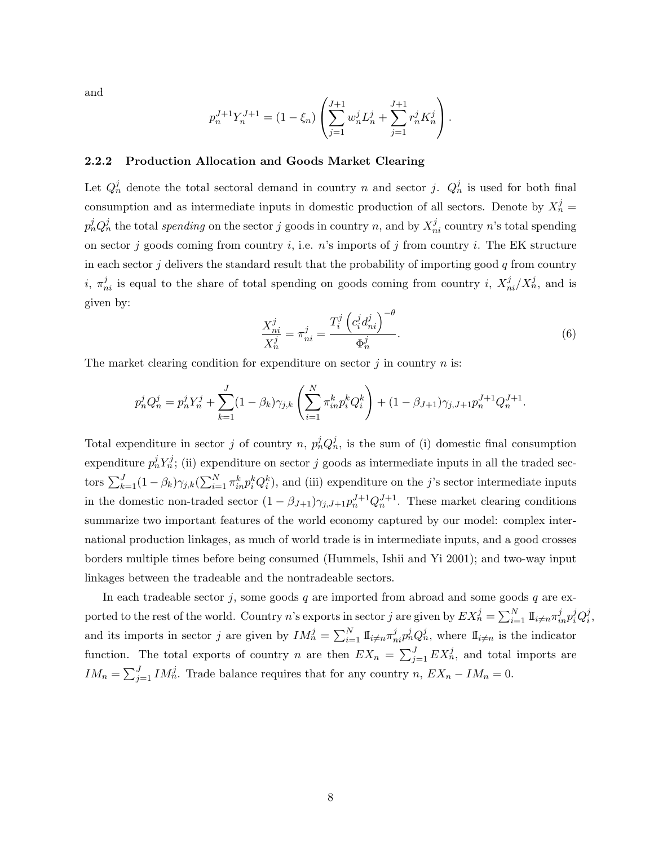and

$$
p_n^{J+1} Y_n^{J+1} = (1 - \xi_n) \left( \sum_{j=1}^{J+1} w_n^j L_n^j + \sum_{j=1}^{J+1} r_n^j K_n^j \right).
$$

#### 2.2.2 Production Allocation and Goods Market Clearing

Let  $Q_n^j$  denote the total sectoral demand in country n and sector j.  $Q_n^j$  is used for both final consumption and as intermediate inputs in domestic production of all sectors. Denote by  $X_n^j =$  $p_n^j Q_n^j$  the total spending on the sector j goods in country n, and by  $X_{ni}^j$  country n's total spending on sector j goods coming from country i, i.e.  $n$ 's imports of j from country i. The EK structure in each sector  $j$  delivers the standard result that the probability of importing good  $q$  from country *i*,  $\pi_{ni}^j$  is equal to the share of total spending on goods coming from country *i*,  $X_{ni}^j/X_n^j$ , and is given by:

$$
\frac{X_{ni}^j}{X_n^j} = \pi_{ni}^j = \frac{T_i^j \left(c_i^j d_{ni}^j\right)^{-\theta}}{\Phi_n^j}.
$$
\n
$$
(6)
$$

The market clearing condition for expenditure on sector  $j$  in country  $n$  is:

$$
p_n^j Q_n^j = p_n^j Y_n^j + \sum_{k=1}^J (1 - \beta_k) \gamma_{j,k} \left( \sum_{i=1}^N \pi_{in}^k p_i^k Q_i^k \right) + (1 - \beta_{J+1}) \gamma_{j,J+1} p_n^{J+1} Q_n^{J+1}.
$$

Total expenditure in sector j of country n,  $p_n^j Q_n^j$ , is the sum of (i) domestic final consumption expenditure  $p_n^j Y_n^j$ ; (ii) expenditure on sector j goods as intermediate inputs in all the traded sectors  $\sum_{k=1}^{J} (1-\beta_k) \gamma_{j,k} (\sum_{i=1}^{N} \pi_{in}^k p_i^k Q_i^k)$ , and (iii) expenditure on the j's sector intermediate inputs in the domestic non-traded sector  $(1 - \beta_{J+1})\gamma_{j,J+1}p_n^{J+1}Q_n^{J+1}$ . These market clearing conditions summarize two important features of the world economy captured by our model: complex international production linkages, as much of world trade is in intermediate inputs, and a good crosses borders multiple times before being consumed (Hummels, Ishii and Yi 2001); and two-way input linkages between the tradeable and the nontradeable sectors.

In each tradeable sector  $j$ , some goods  $q$  are imported from abroad and some goods  $q$  are exported to the rest of the world. Country n's exports in sector j are given by  $EX_n^j = \sum_{i=1}^N \mathbb{I}_{i \neq n} \pi_{in}^j p_i^j Q_i^j$  $_{i}^{\jmath},$ and its imports in sector j are given by  $IM_n^j = \sum_{i=1}^N 1\!\!1_{i \neq n} \pi_{ni}^j p_n^j Q_n^j$ , where  $1\!\!1_{i \neq n}$  is the indicator function. The total exports of country n are then  $EX_n = \sum_{j=1}^{J} EX_n^j$ , and total imports are  $IM_n = \sum_{j=1}^{J} IM_n^j$ . Trade balance requires that for any country n,  $EX_n - IM_n = 0$ .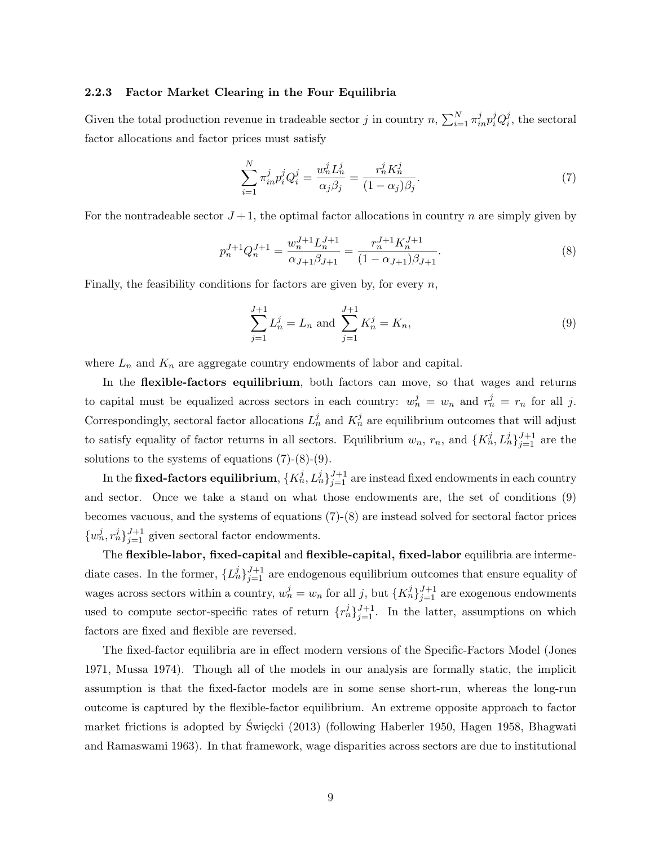#### 2.2.3 Factor Market Clearing in the Four Equilibria

Given the total production revenue in tradeable sector j in country  $n, \sum_{i=1}^{N} \pi_{in}^{j} p_i^j Q_i^j$  $i<sub>i</sub>$ , the sectoral factor allocations and factor prices must satisfy

$$
\sum_{i=1}^{N} \pi_{in}^j p_i^j Q_i^j = \frac{w_n^j L_n^j}{\alpha_j \beta_j} = \frac{r_n^j K_n^j}{(1 - \alpha_j)\beta_j}.
$$
\n<sup>(7)</sup>

For the nontradeable sector  $J+1$ , the optimal factor allocations in country n are simply given by

$$
p_n^{J+1} Q_n^{J+1} = \frac{w_n^{J+1} L_n^{J+1}}{\alpha_{J+1} \beta_{J+1}} = \frac{r_n^{J+1} K_n^{J+1}}{(1 - \alpha_{J+1}) \beta_{J+1}}.
$$
\n(8)

Finally, the feasibility conditions for factors are given by, for every  $n$ ,

$$
\sum_{j=1}^{J+1} L_n^j = L_n \text{ and } \sum_{j=1}^{J+1} K_n^j = K_n,
$$
\n(9)

where  $L_n$  and  $K_n$  are aggregate country endowments of labor and capital.

In the flexible-factors equilibrium, both factors can move, so that wages and returns to capital must be equalized across sectors in each country:  $w_n^j = w_n$  and  $r_n^j = r_n$  for all j. Correspondingly, sectoral factor allocations  $L_n^j$  and  $K_n^j$  are equilibrium outcomes that will adjust to satisfy equality of factor returns in all sectors. Equilibrium  $w_n$ ,  $r_n$ , and  $\{K_n^j, L_n^j\}_{j=1}^{J+1}$  are the solutions to the systems of equations  $(7)-(8)-(9)$ .

In the fixed-factors equilibrium,  $\{K_n^j, L_n^j\}_{j=1}^{J+1}$  are instead fixed endowments in each country and sector. Once we take a stand on what those endowments are, the set of conditions (9) becomes vacuous, and the systems of equations (7)-(8) are instead solved for sectoral factor prices  ${w_n^j, r_n^j}_{j=1}^{J+1}$  given sectoral factor endowments.

The flexible-labor, fixed-capital and flexible-capital, fixed-labor equilibria are intermediate cases. In the former,  $\{L_n^j\}_{j=1}^{J+1}$  are endogenous equilibrium outcomes that ensure equality of wages across sectors within a country,  $w_n^j = w_n$  for all j, but  $\{K_n^j\}_{j=1}^{J+1}$  are exogenous endowments used to compute sector-specific rates of return  $\{r_n^j\}_{j=1}^{J+1}$ . In the latter, assumptions on which factors are fixed and flexible are reversed.

The fixed-factor equilibria are in effect modern versions of the Specific-Factors Model (Jones 1971, Mussa 1974). Though all of the models in our analysis are formally static, the implicit assumption is that the fixed-factor models are in some sense short-run, whereas the long-run outcome is captured by the flexible-factor equilibrium. An extreme opposite approach to factor market frictions is adopted by Święcki (2013) (following Haberler 1950, Hagen 1958, Bhagwati and Ramaswami 1963). In that framework, wage disparities across sectors are due to institutional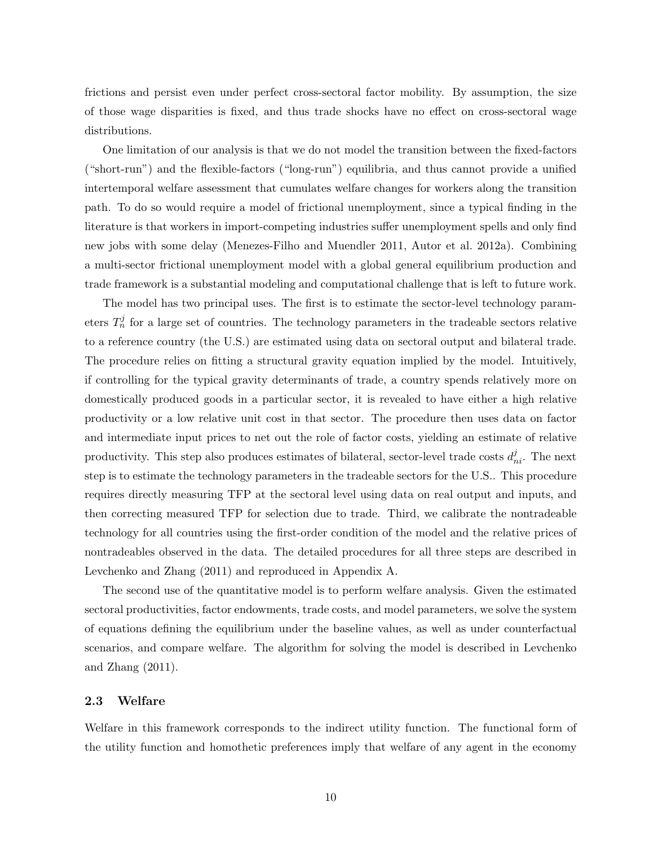frictions and persist even under perfect cross-sectoral factor mobility. By assumption, the size of those wage disparities is fixed, and thus trade shocks have no effect on cross-sectoral wage distributions.

One limitation of our analysis is that we do not model the transition between the fixed-factors ("short-run") and the flexible-factors ("long-run") equilibria, and thus cannot provide a unified intertemporal welfare assessment that cumulates welfare changes for workers along the transition path. To do so would require a model of frictional unemployment, since a typical finding in the literature is that workers in import-competing industries suffer unemployment spells and only find new jobs with some delay (Menezes-Filho and Muendler 2011, Autor et al. 2012a). Combining a multi-sector frictional unemployment model with a global general equilibrium production and trade framework is a substantial modeling and computational challenge that is left to future work.

The model has two principal uses. The first is to estimate the sector-level technology parameters  $T_n^j$  for a large set of countries. The technology parameters in the tradeable sectors relative to a reference country (the U.S.) are estimated using data on sectoral output and bilateral trade. The procedure relies on fitting a structural gravity equation implied by the model. Intuitively, if controlling for the typical gravity determinants of trade, a country spends relatively more on domestically produced goods in a particular sector, it is revealed to have either a high relative productivity or a low relative unit cost in that sector. The procedure then uses data on factor and intermediate input prices to net out the role of factor costs, yielding an estimate of relative productivity. This step also produces estimates of bilateral, sector-level trade costs  $d_{ni}^j$ . The next step is to estimate the technology parameters in the tradeable sectors for the U.S.. This procedure requires directly measuring TFP at the sectoral level using data on real output and inputs, and then correcting measured TFP for selection due to trade. Third, we calibrate the nontradeable technology for all countries using the first-order condition of the model and the relative prices of nontradeables observed in the data. The detailed procedures for all three steps are described in Levchenko and Zhang (2011) and reproduced in Appendix A.

The second use of the quantitative model is to perform welfare analysis. Given the estimated sectoral productivities, factor endowments, trade costs, and model parameters, we solve the system of equations defining the equilibrium under the baseline values, as well as under counterfactual scenarios, and compare welfare. The algorithm for solving the model is described in Levchenko and Zhang (2011).

#### 2.3 Welfare

Welfare in this framework corresponds to the indirect utility function. The functional form of the utility function and homothetic preferences imply that welfare of any agent in the economy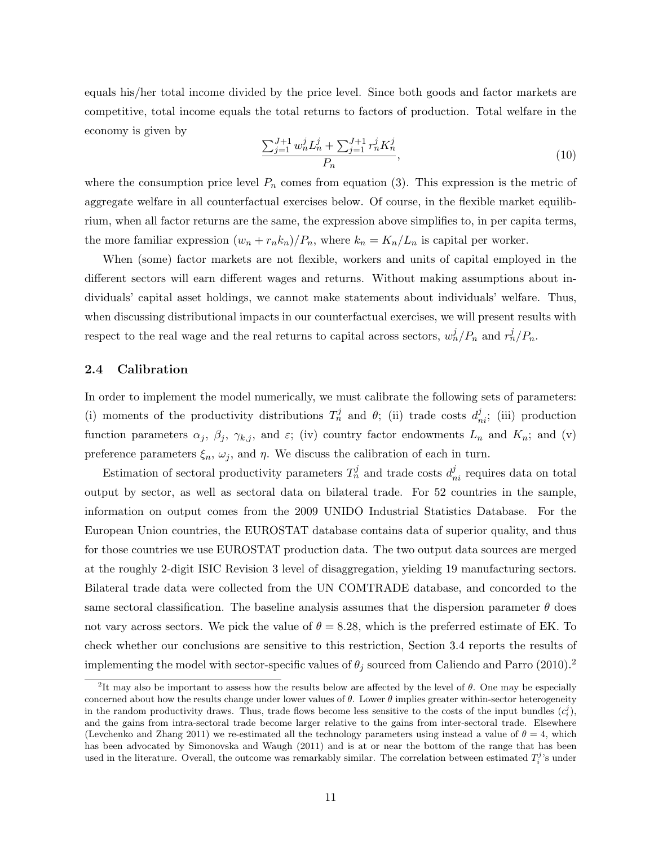equals his/her total income divided by the price level. Since both goods and factor markets are competitive, total income equals the total returns to factors of production. Total welfare in the economy is given by

$$
\frac{\sum_{j=1}^{J+1} w_n^j L_n^j + \sum_{j=1}^{J+1} r_n^j K_n^j}{P_n},\tag{10}
$$

where the consumption price level  $P_n$  comes from equation (3). This expression is the metric of aggregate welfare in all counterfactual exercises below. Of course, in the flexible market equilibrium, when all factor returns are the same, the expression above simplifies to, in per capita terms, the more familiar expression  $(w_n + r_n k_n)/P_n$ , where  $k_n = K_n/L_n$  is capital per worker.

When (some) factor markets are not flexible, workers and units of capital employed in the different sectors will earn different wages and returns. Without making assumptions about individuals' capital asset holdings, we cannot make statements about individuals' welfare. Thus, when discussing distributional impacts in our counterfactual exercises, we will present results with respect to the real wage and the real returns to capital across sectors,  $w_n^j/P_n$  and  $r_n^j/P_n$ .

### 2.4 Calibration

In order to implement the model numerically, we must calibrate the following sets of parameters: (i) moments of the productivity distributions  $T_n^j$  and  $\theta$ ; (ii) trade costs  $d_{ni}^j$ ; (iii) production function parameters  $\alpha_j$ ,  $\beta_j$ ,  $\gamma_{k,j}$ , and  $\varepsilon$ ; (iv) country factor endowments  $L_n$  and  $K_n$ ; and (v) preference parameters  $\xi_n$ ,  $\omega_j$ , and  $\eta$ . We discuss the calibration of each in turn.

Estimation of sectoral productivity parameters  $T_n^j$  and trade costs  $d_{ni}^j$  requires data on total output by sector, as well as sectoral data on bilateral trade. For 52 countries in the sample, information on output comes from the 2009 UNIDO Industrial Statistics Database. For the European Union countries, the EUROSTAT database contains data of superior quality, and thus for those countries we use EUROSTAT production data. The two output data sources are merged at the roughly 2-digit ISIC Revision 3 level of disaggregation, yielding 19 manufacturing sectors. Bilateral trade data were collected from the UN COMTRADE database, and concorded to the same sectoral classification. The baseline analysis assumes that the dispersion parameter  $\theta$  does not vary across sectors. We pick the value of  $\theta = 8.28$ , which is the preferred estimate of EK. To check whether our conclusions are sensitive to this restriction, Section 3.4 reports the results of implementing the model with sector-specific values of  $\theta_j$  sourced from Caliendo and Parro (2010).<sup>2</sup>

<sup>&</sup>lt;sup>2</sup>It may also be important to assess how the results below are affected by the level of  $\theta$ . One may be especially concerned about how the results change under lower values of  $\theta$ . Lower  $\theta$  implies greater within-sector heterogeneity in the random productivity draws. Thus, trade flows become less sensitive to the costs of the input bundles  $(c_i^j)$ , and the gains from intra-sectoral trade become larger relative to the gains from inter-sectoral trade. Elsewhere (Levchenko and Zhang 2011) we re-estimated all the technology parameters using instead a value of  $\theta = 4$ , which has been advocated by Simonovska and Waugh (2011) and is at or near the bottom of the range that has been used in the literature. Overall, the outcome was remarkably similar. The correlation between estimated  $T_i^j$ 's under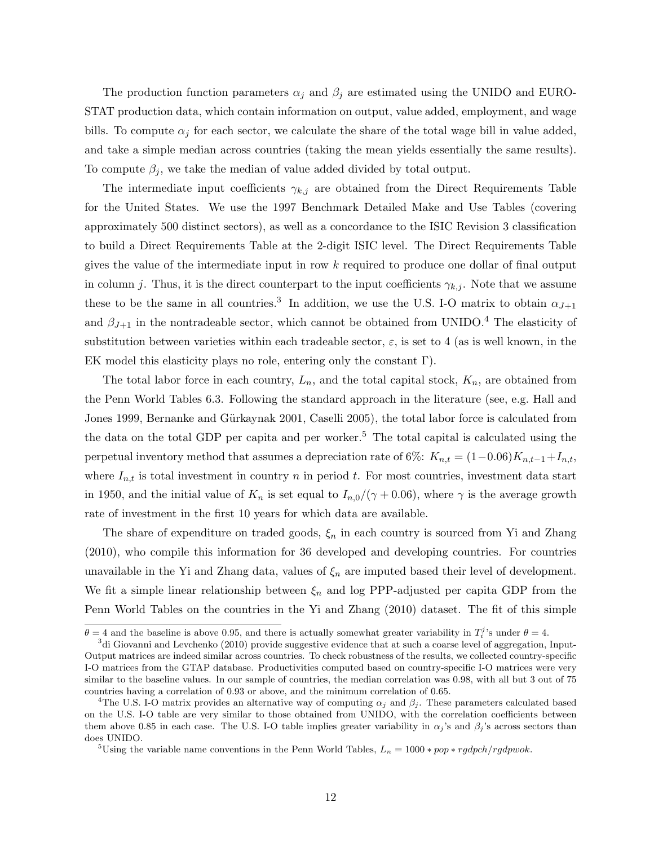The production function parameters  $\alpha_j$  and  $\beta_j$  are estimated using the UNIDO and EURO-STAT production data, which contain information on output, value added, employment, and wage bills. To compute  $\alpha_j$  for each sector, we calculate the share of the total wage bill in value added, and take a simple median across countries (taking the mean yields essentially the same results). To compute  $\beta_i$ , we take the median of value added divided by total output.

The intermediate input coefficients  $\gamma_{k,j}$  are obtained from the Direct Requirements Table for the United States. We use the 1997 Benchmark Detailed Make and Use Tables (covering approximately 500 distinct sectors), as well as a concordance to the ISIC Revision 3 classification to build a Direct Requirements Table at the 2-digit ISIC level. The Direct Requirements Table gives the value of the intermediate input in row k required to produce one dollar of final output in column j. Thus, it is the direct counterpart to the input coefficients  $\gamma_{k,j}$ . Note that we assume these to be the same in all countries.<sup>3</sup> In addition, we use the U.S. I-O matrix to obtain  $\alpha_{J+1}$ and  $\beta_{J+1}$  in the nontradeable sector, which cannot be obtained from UNIDO.<sup>4</sup> The elasticity of substitution between varieties within each tradeable sector,  $\varepsilon$ , is set to 4 (as is well known, in the EK model this elasticity plays no role, entering only the constant  $\Gamma$ ).

The total labor force in each country,  $L_n$ , and the total capital stock,  $K_n$ , are obtained from the Penn World Tables 6.3. Following the standard approach in the literature (see, e.g. Hall and Jones 1999, Bernanke and Gürkaynak 2001, Caselli 2005), the total labor force is calculated from the data on the total GDP per capita and per worker.<sup>5</sup> The total capital is calculated using the perpetual inventory method that assumes a depreciation rate of 6%:  $K_{n,t} = (1-0.06)K_{n,t-1}+I_{n,t}$ , where  $I_{n,t}$  is total investment in country n in period t. For most countries, investment data start in 1950, and the initial value of  $K_n$  is set equal to  $I_{n,0}/(\gamma + 0.06)$ , where  $\gamma$  is the average growth rate of investment in the first 10 years for which data are available.

The share of expenditure on traded goods,  $\xi_n$  in each country is sourced from Yi and Zhang (2010), who compile this information for 36 developed and developing countries. For countries unavailable in the Yi and Zhang data, values of  $\xi_n$  are imputed based their level of development. We fit a simple linear relationship between  $\xi_n$  and log PPP-adjusted per capita GDP from the Penn World Tables on the countries in the Yi and Zhang (2010) dataset. The fit of this simple

 $\theta = 4$  and the baseline is above 0.95, and there is actually somewhat greater variability in  $T_i^j$ 's under  $\theta = 4$ .

<sup>&</sup>lt;sup>3</sup>di Giovanni and Levchenko (2010) provide suggestive evidence that at such a coarse level of aggregation, Input-Output matrices are indeed similar across countries. To check robustness of the results, we collected country-specific I-O matrices from the GTAP database. Productivities computed based on country-specific I-O matrices were very similar to the baseline values. In our sample of countries, the median correlation was 0.98, with all but 3 out of 75 countries having a correlation of 0.93 or above, and the minimum correlation of 0.65.

<sup>&</sup>lt;sup>4</sup>The U.S. I-O matrix provides an alternative way of computing  $\alpha_j$  and  $\beta_j$ . These parameters calculated based on the U.S. I-O table are very similar to those obtained from UNIDO, with the correlation coefficients between them above 0.85 in each case. The U.S. I-O table implies greater variability in  $\alpha_j$ 's and  $\beta_j$ 's across sectors than does UNIDO.

<sup>&</sup>lt;sup>5</sup>Using the variable name conventions in the Penn World Tables,  $L_n = 1000 * pop * rgdpch/rgdpwok$ .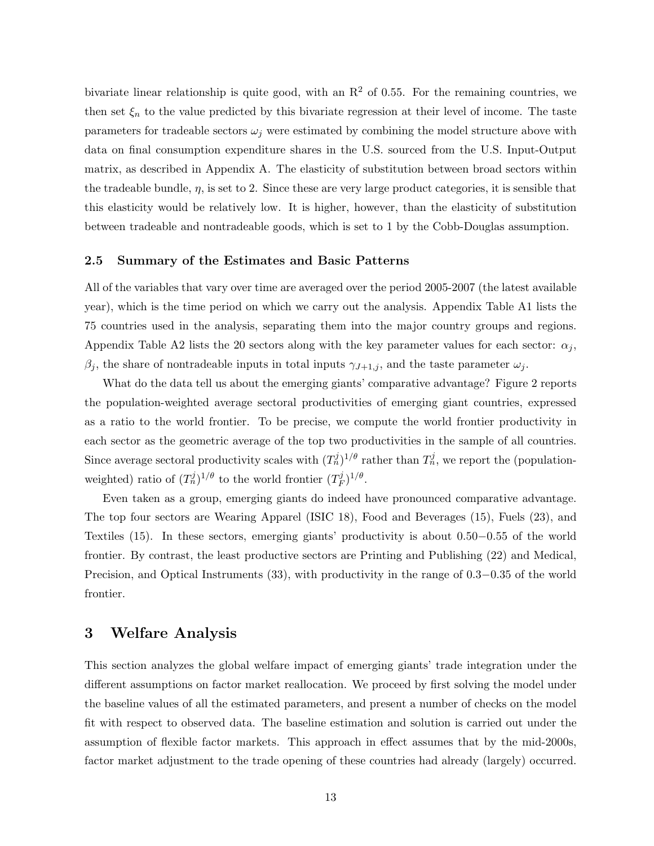bivariate linear relationship is quite good, with an  $\mathbb{R}^2$  of 0.55. For the remaining countries, we then set  $\xi_n$  to the value predicted by this bivariate regression at their level of income. The taste parameters for tradeable sectors  $\omega_j$  were estimated by combining the model structure above with data on final consumption expenditure shares in the U.S. sourced from the U.S. Input-Output matrix, as described in Appendix A. The elasticity of substitution between broad sectors within the tradeable bundle,  $\eta$ , is set to 2. Since these are very large product categories, it is sensible that this elasticity would be relatively low. It is higher, however, than the elasticity of substitution between tradeable and nontradeable goods, which is set to 1 by the Cobb-Douglas assumption.

#### 2.5 Summary of the Estimates and Basic Patterns

All of the variables that vary over time are averaged over the period 2005-2007 (the latest available year), which is the time period on which we carry out the analysis. Appendix Table A1 lists the 75 countries used in the analysis, separating them into the major country groups and regions. Appendix Table A2 lists the 20 sectors along with the key parameter values for each sector:  $\alpha_i$ ,  $\beta_j$ , the share of nontradeable inputs in total inputs  $\gamma_{J+1,j}$ , and the taste parameter  $\omega_j$ .

What do the data tell us about the emerging giants' comparative advantage? Figure 2 reports the population-weighted average sectoral productivities of emerging giant countries, expressed as a ratio to the world frontier. To be precise, we compute the world frontier productivity in each sector as the geometric average of the top two productivities in the sample of all countries. Since average sectoral productivity scales with  $(T_n^j)^{1/\theta}$  rather than  $T_n^j$ , we report the (populationweighted) ratio of  $(T_n^j)^{1/\theta}$  to the world frontier  $(T_F^j)$  $(F)^{j/2}$ .

Even taken as a group, emerging giants do indeed have pronounced comparative advantage. The top four sectors are Wearing Apparel (ISIC 18), Food and Beverages (15), Fuels (23), and Textiles (15). In these sectors, emerging giants' productivity is about 0.50−0.55 of the world frontier. By contrast, the least productive sectors are Printing and Publishing (22) and Medical, Precision, and Optical Instruments (33), with productivity in the range of 0.3−0.35 of the world frontier.

# 3 Welfare Analysis

This section analyzes the global welfare impact of emerging giants' trade integration under the different assumptions on factor market reallocation. We proceed by first solving the model under the baseline values of all the estimated parameters, and present a number of checks on the model fit with respect to observed data. The baseline estimation and solution is carried out under the assumption of flexible factor markets. This approach in effect assumes that by the mid-2000s, factor market adjustment to the trade opening of these countries had already (largely) occurred.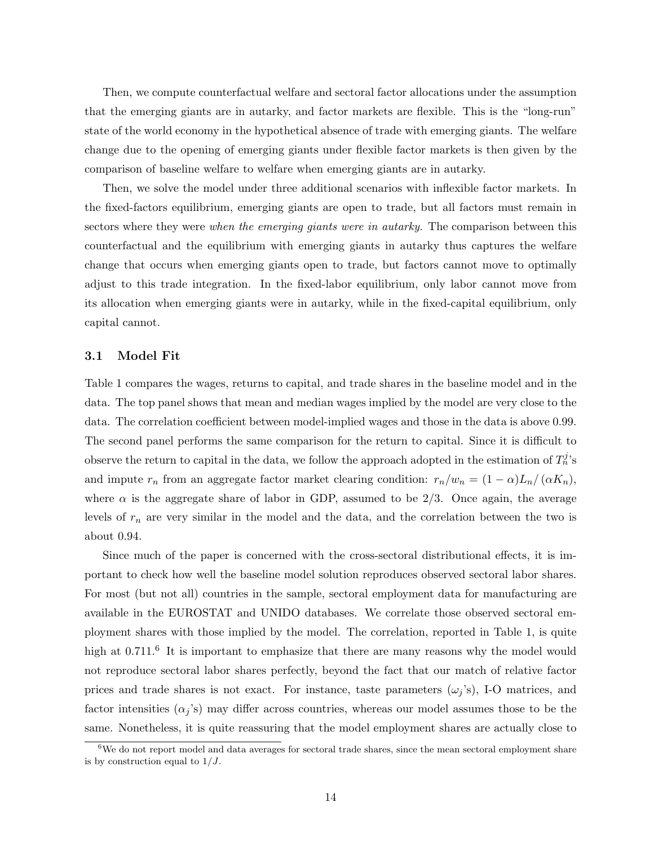Then, we compute counterfactual welfare and sectoral factor allocations under the assumption that the emerging giants are in autarky, and factor markets are flexible. This is the "long-run" state of the world economy in the hypothetical absence of trade with emerging giants. The welfare change due to the opening of emerging giants under flexible factor markets is then given by the comparison of baseline welfare to welfare when emerging giants are in autarky.

Then, we solve the model under three additional scenarios with inflexible factor markets. In the fixed-factors equilibrium, emerging giants are open to trade, but all factors must remain in sectors where they were when the emerging giants were in autarky. The comparison between this counterfactual and the equilibrium with emerging giants in autarky thus captures the welfare change that occurs when emerging giants open to trade, but factors cannot move to optimally adjust to this trade integration. In the fixed-labor equilibrium, only labor cannot move from its allocation when emerging giants were in autarky, while in the fixed-capital equilibrium, only capital cannot.

#### 3.1 Model Fit

Table 1 compares the wages, returns to capital, and trade shares in the baseline model and in the data. The top panel shows that mean and median wages implied by the model are very close to the data. The correlation coefficient between model-implied wages and those in the data is above 0.99. The second panel performs the same comparison for the return to capital. Since it is difficult to observe the return to capital in the data, we follow the approach adopted in the estimation of  $T_n^j$ 's and impute  $r_n$  from an aggregate factor market clearing condition:  $r_n/w_n = (1 - \alpha)L_n/(\alpha K_n)$ , where  $\alpha$  is the aggregate share of labor in GDP, assumed to be 2/3. Once again, the average levels of  $r_n$  are very similar in the model and the data, and the correlation between the two is about 0.94.

Since much of the paper is concerned with the cross-sectoral distributional effects, it is important to check how well the baseline model solution reproduces observed sectoral labor shares. For most (but not all) countries in the sample, sectoral employment data for manufacturing are available in the EUROSTAT and UNIDO databases. We correlate those observed sectoral employment shares with those implied by the model. The correlation, reported in Table 1, is quite high at 0.711.<sup>6</sup> It is important to emphasize that there are many reasons why the model would not reproduce sectoral labor shares perfectly, beyond the fact that our match of relative factor prices and trade shares is not exact. For instance, taste parameters  $(\omega_i)$ 's), I-O matrices, and factor intensities  $(\alpha_j)$  may differ across countries, whereas our model assumes those to be the same. Nonetheless, it is quite reassuring that the model employment shares are actually close to

<sup>&</sup>lt;sup>6</sup>We do not report model and data averages for sectoral trade shares, since the mean sectoral employment share is by construction equal to  $1/J$ .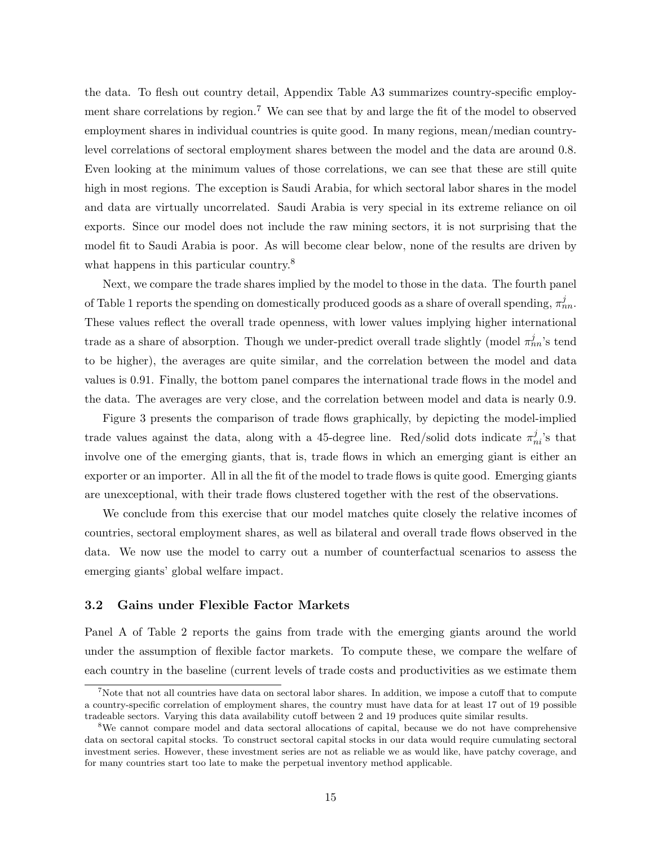the data. To flesh out country detail, Appendix Table A3 summarizes country-specific employment share correlations by region.<sup>7</sup> We can see that by and large the fit of the model to observed employment shares in individual countries is quite good. In many regions, mean/median countrylevel correlations of sectoral employment shares between the model and the data are around 0.8. Even looking at the minimum values of those correlations, we can see that these are still quite high in most regions. The exception is Saudi Arabia, for which sectoral labor shares in the model and data are virtually uncorrelated. Saudi Arabia is very special in its extreme reliance on oil exports. Since our model does not include the raw mining sectors, it is not surprising that the model fit to Saudi Arabia is poor. As will become clear below, none of the results are driven by what happens in this particular country.<sup>8</sup>

Next, we compare the trade shares implied by the model to those in the data. The fourth panel of Table 1 reports the spending on domestically produced goods as a share of overall spending,  $\pi_{nn}^j$ . These values reflect the overall trade openness, with lower values implying higher international trade as a share of absorption. Though we under-predict overall trade slightly (model  $\pi_{nn}^j$ 's tend to be higher), the averages are quite similar, and the correlation between the model and data values is 0.91. Finally, the bottom panel compares the international trade flows in the model and the data. The averages are very close, and the correlation between model and data is nearly 0.9.

Figure 3 presents the comparison of trade flows graphically, by depicting the model-implied trade values against the data, along with a 45-degree line. Red/solid dots indicate  $\pi_{ni}^j$ 's that involve one of the emerging giants, that is, trade flows in which an emerging giant is either an exporter or an importer. All in all the fit of the model to trade flows is quite good. Emerging giants are unexceptional, with their trade flows clustered together with the rest of the observations.

We conclude from this exercise that our model matches quite closely the relative incomes of countries, sectoral employment shares, as well as bilateral and overall trade flows observed in the data. We now use the model to carry out a number of counterfactual scenarios to assess the emerging giants' global welfare impact.

#### 3.2 Gains under Flexible Factor Markets

Panel A of Table 2 reports the gains from trade with the emerging giants around the world under the assumption of flexible factor markets. To compute these, we compare the welfare of each country in the baseline (current levels of trade costs and productivities as we estimate them

<sup>&</sup>lt;sup>7</sup>Note that not all countries have data on sectoral labor shares. In addition, we impose a cutoff that to compute a country-specific correlation of employment shares, the country must have data for at least 17 out of 19 possible tradeable sectors. Varying this data availability cutoff between 2 and 19 produces quite similar results.

<sup>8</sup>We cannot compare model and data sectoral allocations of capital, because we do not have comprehensive data on sectoral capital stocks. To construct sectoral capital stocks in our data would require cumulating sectoral investment series. However, these investment series are not as reliable we as would like, have patchy coverage, and for many countries start too late to make the perpetual inventory method applicable.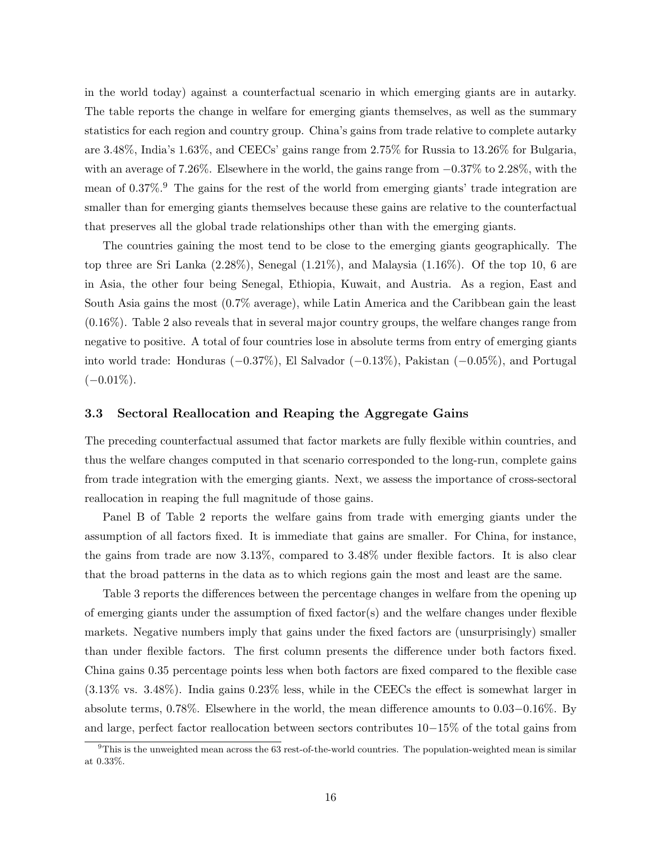in the world today) against a counterfactual scenario in which emerging giants are in autarky. The table reports the change in welfare for emerging giants themselves, as well as the summary statistics for each region and country group. China's gains from trade relative to complete autarky are 3.48%, India's 1.63%, and CEECs' gains range from 2.75% for Russia to 13.26% for Bulgaria, with an average of 7.26%. Elsewhere in the world, the gains range from  $-0.37\%$  to 2.28%, with the mean of  $0.37\%$ <sup>9</sup>. The gains for the rest of the world from emerging giants' trade integration are smaller than for emerging giants themselves because these gains are relative to the counterfactual that preserves all the global trade relationships other than with the emerging giants.

The countries gaining the most tend to be close to the emerging giants geographically. The top three are Sri Lanka  $(2.28\%)$ , Senegal  $(1.21\%)$ , and Malaysia  $(1.16\%)$ . Of the top 10, 6 are in Asia, the other four being Senegal, Ethiopia, Kuwait, and Austria. As a region, East and South Asia gains the most (0.7% average), while Latin America and the Caribbean gain the least (0.16%). Table 2 also reveals that in several major country groups, the welfare changes range from negative to positive. A total of four countries lose in absolute terms from entry of emerging giants into world trade: Honduras (−0.37%), El Salvador (−0.13%), Pakistan (−0.05%), and Portugal  $(-0.01\%).$ 

#### 3.3 Sectoral Reallocation and Reaping the Aggregate Gains

The preceding counterfactual assumed that factor markets are fully flexible within countries, and thus the welfare changes computed in that scenario corresponded to the long-run, complete gains from trade integration with the emerging giants. Next, we assess the importance of cross-sectoral reallocation in reaping the full magnitude of those gains.

Panel B of Table 2 reports the welfare gains from trade with emerging giants under the assumption of all factors fixed. It is immediate that gains are smaller. For China, for instance, the gains from trade are now 3.13%, compared to 3.48% under flexible factors. It is also clear that the broad patterns in the data as to which regions gain the most and least are the same.

Table 3 reports the differences between the percentage changes in welfare from the opening up of emerging giants under the assumption of fixed factor(s) and the welfare changes under flexible markets. Negative numbers imply that gains under the fixed factors are (unsurprisingly) smaller than under flexible factors. The first column presents the difference under both factors fixed. China gains 0.35 percentage points less when both factors are fixed compared to the flexible case (3.13% vs. 3.48%). India gains 0.23% less, while in the CEECs the effect is somewhat larger in absolute terms, 0.78%. Elsewhere in the world, the mean difference amounts to 0.03−0.16%. By and large, perfect factor reallocation between sectors contributes 10−15% of the total gains from

 $9$ This is the unweighted mean across the 63 rest-of-the-world countries. The population-weighted mean is similar at 0.33%.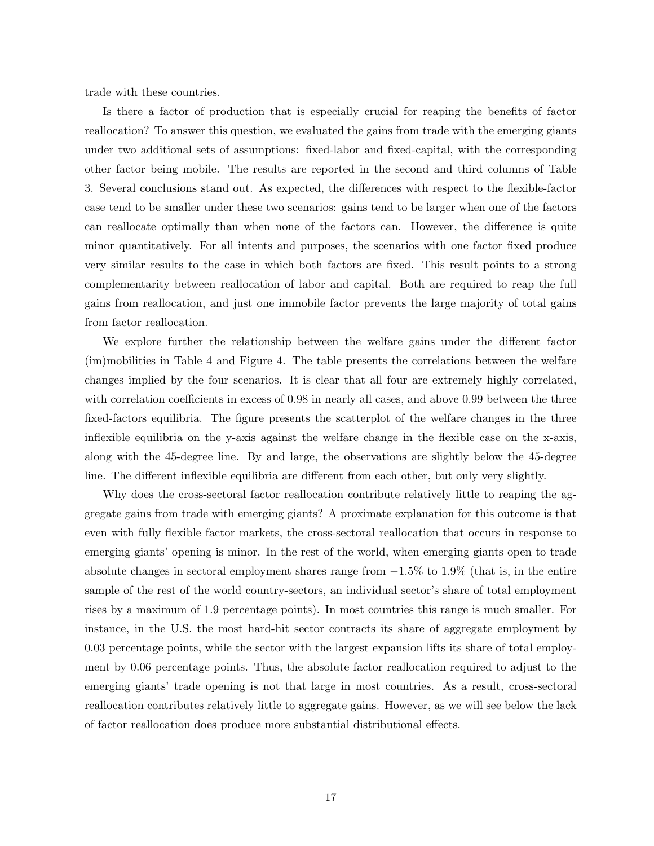trade with these countries.

Is there a factor of production that is especially crucial for reaping the benefits of factor reallocation? To answer this question, we evaluated the gains from trade with the emerging giants under two additional sets of assumptions: fixed-labor and fixed-capital, with the corresponding other factor being mobile. The results are reported in the second and third columns of Table 3. Several conclusions stand out. As expected, the differences with respect to the flexible-factor case tend to be smaller under these two scenarios: gains tend to be larger when one of the factors can reallocate optimally than when none of the factors can. However, the difference is quite minor quantitatively. For all intents and purposes, the scenarios with one factor fixed produce very similar results to the case in which both factors are fixed. This result points to a strong complementarity between reallocation of labor and capital. Both are required to reap the full gains from reallocation, and just one immobile factor prevents the large majority of total gains from factor reallocation.

We explore further the relationship between the welfare gains under the different factor (im)mobilities in Table 4 and Figure 4. The table presents the correlations between the welfare changes implied by the four scenarios. It is clear that all four are extremely highly correlated, with correlation coefficients in excess of 0.98 in nearly all cases, and above 0.99 between the three fixed-factors equilibria. The figure presents the scatterplot of the welfare changes in the three inflexible equilibria on the y-axis against the welfare change in the flexible case on the x-axis, along with the 45-degree line. By and large, the observations are slightly below the 45-degree line. The different inflexible equilibria are different from each other, but only very slightly.

Why does the cross-sectoral factor reallocation contribute relatively little to reaping the aggregate gains from trade with emerging giants? A proximate explanation for this outcome is that even with fully flexible factor markets, the cross-sectoral reallocation that occurs in response to emerging giants' opening is minor. In the rest of the world, when emerging giants open to trade absolute changes in sectoral employment shares range from  $-1.5\%$  to 1.9% (that is, in the entire sample of the rest of the world country-sectors, an individual sector's share of total employment rises by a maximum of 1.9 percentage points). In most countries this range is much smaller. For instance, in the U.S. the most hard-hit sector contracts its share of aggregate employment by 0.03 percentage points, while the sector with the largest expansion lifts its share of total employment by 0.06 percentage points. Thus, the absolute factor reallocation required to adjust to the emerging giants' trade opening is not that large in most countries. As a result, cross-sectoral reallocation contributes relatively little to aggregate gains. However, as we will see below the lack of factor reallocation does produce more substantial distributional effects.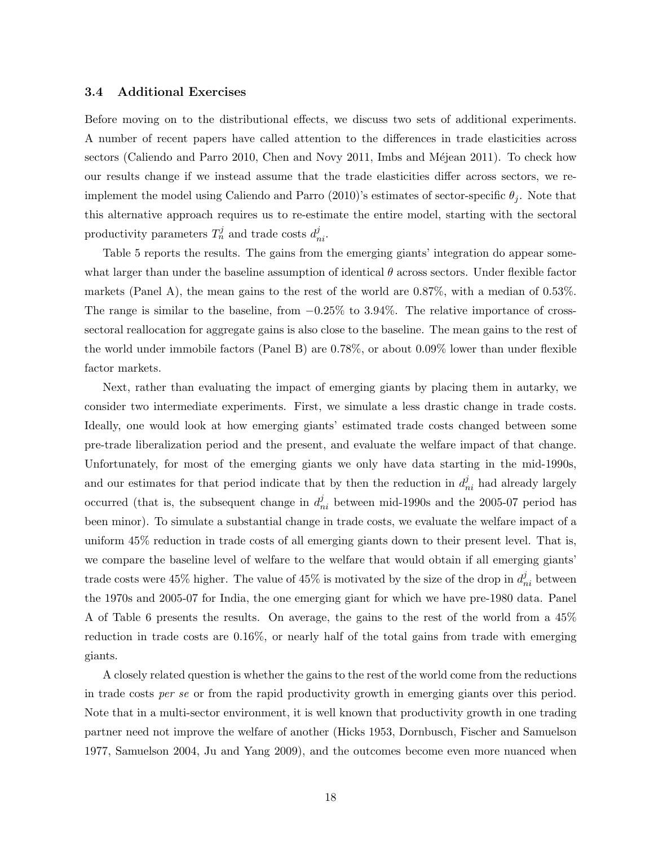#### 3.4 Additional Exercises

Before moving on to the distributional effects, we discuss two sets of additional experiments. A number of recent papers have called attention to the differences in trade elasticities across sectors (Caliendo and Parro 2010, Chen and Novy 2011, Imbs and Méjean 2011). To check how our results change if we instead assume that the trade elasticities differ across sectors, we reimplement the model using Caliendo and Parro (2010)'s estimates of sector-specific  $\theta_i$ . Note that this alternative approach requires us to re-estimate the entire model, starting with the sectoral productivity parameters  $T_n^j$  and trade costs  $d_{ni}^j$ .

Table 5 reports the results. The gains from the emerging giants' integration do appear somewhat larger than under the baseline assumption of identical  $\theta$  across sectors. Under flexible factor markets (Panel A), the mean gains to the rest of the world are 0.87%, with a median of 0.53%. The range is similar to the baseline, from  $-0.25\%$  to 3.94%. The relative importance of crosssectoral reallocation for aggregate gains is also close to the baseline. The mean gains to the rest of the world under immobile factors (Panel B) are 0.78%, or about 0.09% lower than under flexible factor markets.

Next, rather than evaluating the impact of emerging giants by placing them in autarky, we consider two intermediate experiments. First, we simulate a less drastic change in trade costs. Ideally, one would look at how emerging giants' estimated trade costs changed between some pre-trade liberalization period and the present, and evaluate the welfare impact of that change. Unfortunately, for most of the emerging giants we only have data starting in the mid-1990s, and our estimates for that period indicate that by then the reduction in  $d_{ni}^j$  had already largely occurred (that is, the subsequent change in  $d_{ni}^j$  between mid-1990s and the 2005-07 period has been minor). To simulate a substantial change in trade costs, we evaluate the welfare impact of a uniform 45% reduction in trade costs of all emerging giants down to their present level. That is, we compare the baseline level of welfare to the welfare that would obtain if all emerging giants' trade costs were 45% higher. The value of 45% is motivated by the size of the drop in  $d_{ni}^j$  between the 1970s and 2005-07 for India, the one emerging giant for which we have pre-1980 data. Panel A of Table 6 presents the results. On average, the gains to the rest of the world from a 45% reduction in trade costs are 0.16%, or nearly half of the total gains from trade with emerging giants.

A closely related question is whether the gains to the rest of the world come from the reductions in trade costs per se or from the rapid productivity growth in emerging giants over this period. Note that in a multi-sector environment, it is well known that productivity growth in one trading partner need not improve the welfare of another (Hicks 1953, Dornbusch, Fischer and Samuelson 1977, Samuelson 2004, Ju and Yang 2009), and the outcomes become even more nuanced when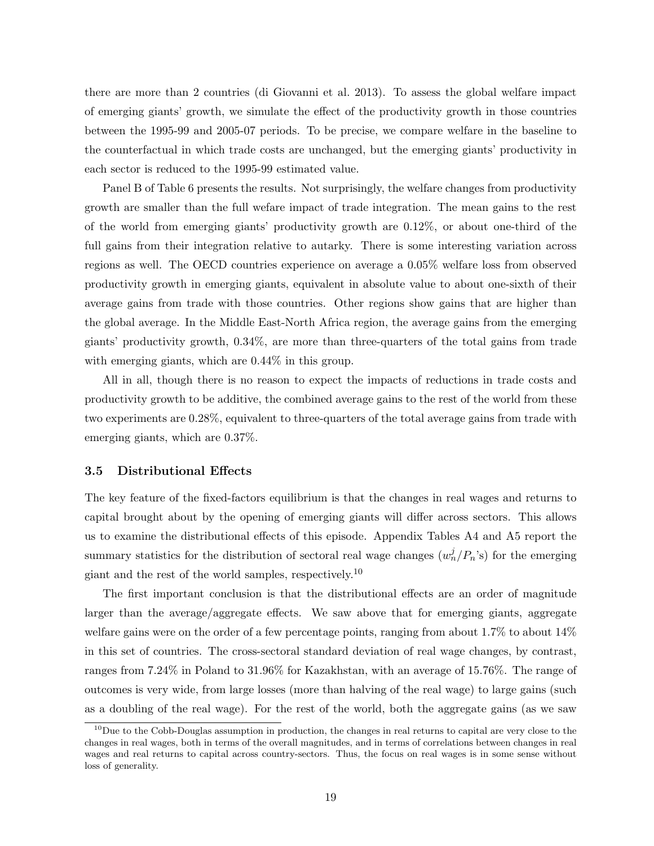there are more than 2 countries (di Giovanni et al. 2013). To assess the global welfare impact of emerging giants' growth, we simulate the effect of the productivity growth in those countries between the 1995-99 and 2005-07 periods. To be precise, we compare welfare in the baseline to the counterfactual in which trade costs are unchanged, but the emerging giants' productivity in each sector is reduced to the 1995-99 estimated value.

Panel B of Table 6 presents the results. Not surprisingly, the welfare changes from productivity growth are smaller than the full wefare impact of trade integration. The mean gains to the rest of the world from emerging giants' productivity growth are 0.12%, or about one-third of the full gains from their integration relative to autarky. There is some interesting variation across regions as well. The OECD countries experience on average a 0.05% welfare loss from observed productivity growth in emerging giants, equivalent in absolute value to about one-sixth of their average gains from trade with those countries. Other regions show gains that are higher than the global average. In the Middle East-North Africa region, the average gains from the emerging giants' productivity growth, 0.34%, are more than three-quarters of the total gains from trade with emerging giants, which are 0.44% in this group.

All in all, though there is no reason to expect the impacts of reductions in trade costs and productivity growth to be additive, the combined average gains to the rest of the world from these two experiments are 0.28%, equivalent to three-quarters of the total average gains from trade with emerging giants, which are 0.37%.

#### 3.5 Distributional Effects

The key feature of the fixed-factors equilibrium is that the changes in real wages and returns to capital brought about by the opening of emerging giants will differ across sectors. This allows us to examine the distributional effects of this episode. Appendix Tables A4 and A5 report the summary statistics for the distribution of sectoral real wage changes  $(w_n^j/P_n^2)$  for the emerging giant and the rest of the world samples, respectively.<sup>10</sup>

The first important conclusion is that the distributional effects are an order of magnitude larger than the average/aggregate effects. We saw above that for emerging giants, aggregate welfare gains were on the order of a few percentage points, ranging from about 1.7% to about 14% in this set of countries. The cross-sectoral standard deviation of real wage changes, by contrast, ranges from 7.24% in Poland to 31.96% for Kazakhstan, with an average of 15.76%. The range of outcomes is very wide, from large losses (more than halving of the real wage) to large gains (such as a doubling of the real wage). For the rest of the world, both the aggregate gains (as we saw

 $10$ Due to the Cobb-Douglas assumption in production, the changes in real returns to capital are very close to the changes in real wages, both in terms of the overall magnitudes, and in terms of correlations between changes in real wages and real returns to capital across country-sectors. Thus, the focus on real wages is in some sense without loss of generality.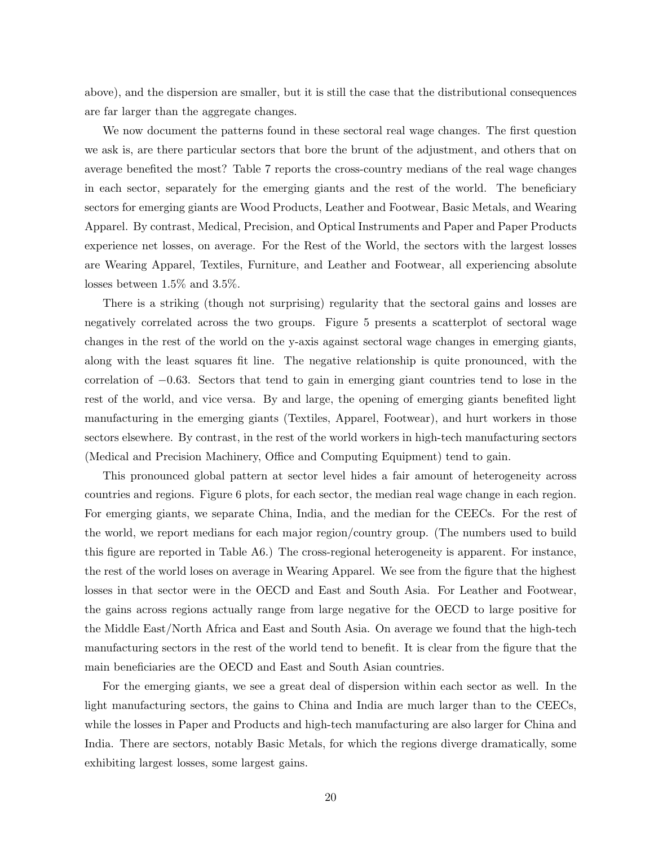above), and the dispersion are smaller, but it is still the case that the distributional consequences are far larger than the aggregate changes.

We now document the patterns found in these sectoral real wage changes. The first question we ask is, are there particular sectors that bore the brunt of the adjustment, and others that on average benefited the most? Table 7 reports the cross-country medians of the real wage changes in each sector, separately for the emerging giants and the rest of the world. The beneficiary sectors for emerging giants are Wood Products, Leather and Footwear, Basic Metals, and Wearing Apparel. By contrast, Medical, Precision, and Optical Instruments and Paper and Paper Products experience net losses, on average. For the Rest of the World, the sectors with the largest losses are Wearing Apparel, Textiles, Furniture, and Leather and Footwear, all experiencing absolute losses between 1.5% and 3.5%.

There is a striking (though not surprising) regularity that the sectoral gains and losses are negatively correlated across the two groups. Figure 5 presents a scatterplot of sectoral wage changes in the rest of the world on the y-axis against sectoral wage changes in emerging giants, along with the least squares fit line. The negative relationship is quite pronounced, with the correlation of −0.63. Sectors that tend to gain in emerging giant countries tend to lose in the rest of the world, and vice versa. By and large, the opening of emerging giants benefited light manufacturing in the emerging giants (Textiles, Apparel, Footwear), and hurt workers in those sectors elsewhere. By contrast, in the rest of the world workers in high-tech manufacturing sectors (Medical and Precision Machinery, Office and Computing Equipment) tend to gain.

This pronounced global pattern at sector level hides a fair amount of heterogeneity across countries and regions. Figure 6 plots, for each sector, the median real wage change in each region. For emerging giants, we separate China, India, and the median for the CEECs. For the rest of the world, we report medians for each major region/country group. (The numbers used to build this figure are reported in Table A6.) The cross-regional heterogeneity is apparent. For instance, the rest of the world loses on average in Wearing Apparel. We see from the figure that the highest losses in that sector were in the OECD and East and South Asia. For Leather and Footwear, the gains across regions actually range from large negative for the OECD to large positive for the Middle East/North Africa and East and South Asia. On average we found that the high-tech manufacturing sectors in the rest of the world tend to benefit. It is clear from the figure that the main beneficiaries are the OECD and East and South Asian countries.

For the emerging giants, we see a great deal of dispersion within each sector as well. In the light manufacturing sectors, the gains to China and India are much larger than to the CEECs, while the losses in Paper and Products and high-tech manufacturing are also larger for China and India. There are sectors, notably Basic Metals, for which the regions diverge dramatically, some exhibiting largest losses, some largest gains.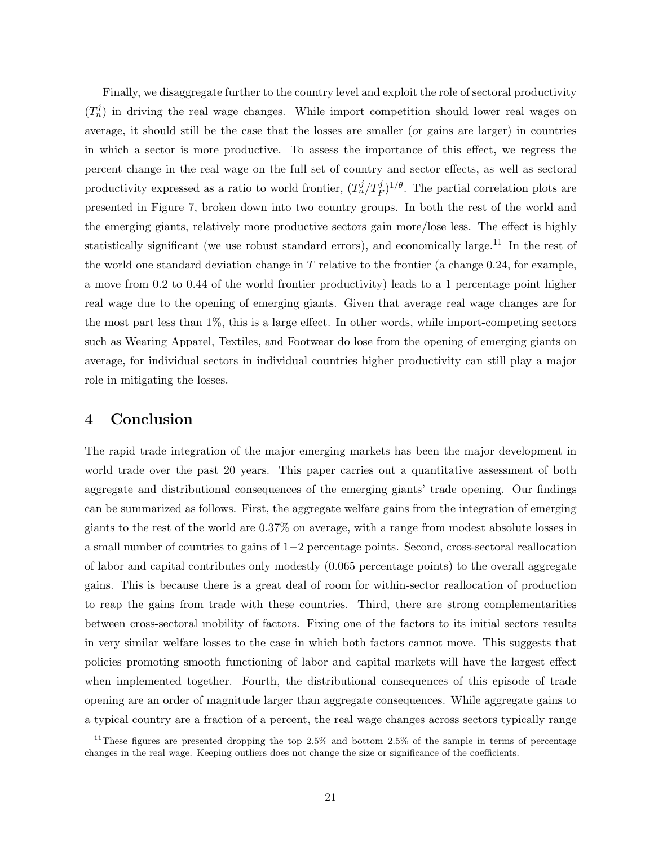Finally, we disaggregate further to the country level and exploit the role of sectoral productivity  $(T_n^j)$  in driving the real wage changes. While import competition should lower real wages on average, it should still be the case that the losses are smaller (or gains are larger) in countries in which a sector is more productive. To assess the importance of this effect, we regress the percent change in the real wage on the full set of country and sector effects, as well as sectoral productivity expressed as a ratio to world frontier,  $(T_n^j/T_F^j)^{1/\theta}$ . The partial correlation plots are presented in Figure 7, broken down into two country groups. In both the rest of the world and the emerging giants, relatively more productive sectors gain more/lose less. The effect is highly statistically significant (we use robust standard errors), and economically large.<sup>11</sup> In the rest of the world one standard deviation change in  $T$  relative to the frontier (a change 0.24, for example, a move from 0.2 to 0.44 of the world frontier productivity) leads to a 1 percentage point higher real wage due to the opening of emerging giants. Given that average real wage changes are for the most part less than 1%, this is a large effect. In other words, while import-competing sectors such as Wearing Apparel, Textiles, and Footwear do lose from the opening of emerging giants on average, for individual sectors in individual countries higher productivity can still play a major role in mitigating the losses.

# 4 Conclusion

The rapid trade integration of the major emerging markets has been the major development in world trade over the past 20 years. This paper carries out a quantitative assessment of both aggregate and distributional consequences of the emerging giants' trade opening. Our findings can be summarized as follows. First, the aggregate welfare gains from the integration of emerging giants to the rest of the world are 0.37% on average, with a range from modest absolute losses in a small number of countries to gains of 1−2 percentage points. Second, cross-sectoral reallocation of labor and capital contributes only modestly (0.065 percentage points) to the overall aggregate gains. This is because there is a great deal of room for within-sector reallocation of production to reap the gains from trade with these countries. Third, there are strong complementarities between cross-sectoral mobility of factors. Fixing one of the factors to its initial sectors results in very similar welfare losses to the case in which both factors cannot move. This suggests that policies promoting smooth functioning of labor and capital markets will have the largest effect when implemented together. Fourth, the distributional consequences of this episode of trade opening are an order of magnitude larger than aggregate consequences. While aggregate gains to a typical country are a fraction of a percent, the real wage changes across sectors typically range

<sup>&</sup>lt;sup>11</sup>These figures are presented dropping the top  $2.5\%$  and bottom  $2.5\%$  of the sample in terms of percentage changes in the real wage. Keeping outliers does not change the size or significance of the coefficients.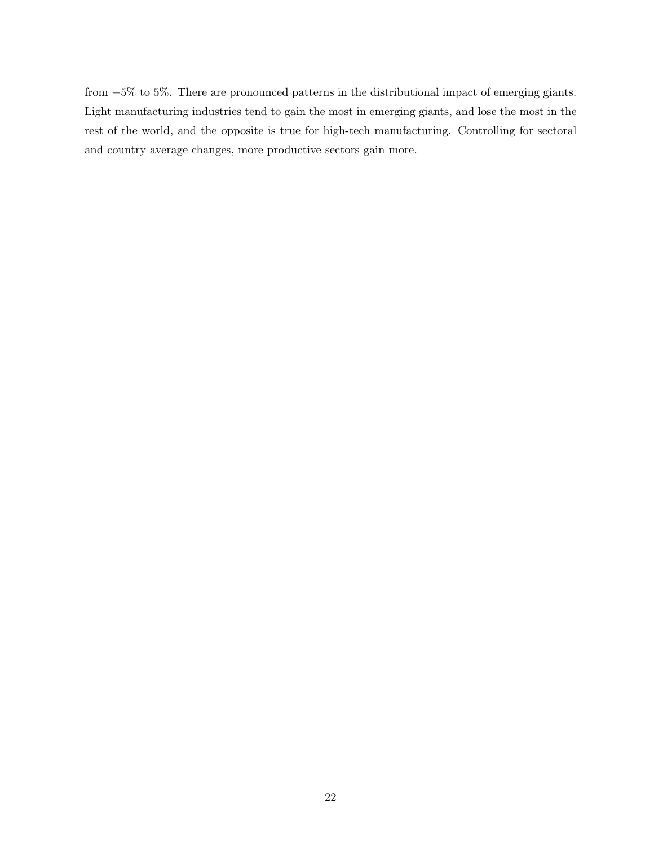from −5% to 5%. There are pronounced patterns in the distributional impact of emerging giants. Light manufacturing industries tend to gain the most in emerging giants, and lose the most in the rest of the world, and the opposite is true for high-tech manufacturing. Controlling for sectoral and country average changes, more productive sectors gain more.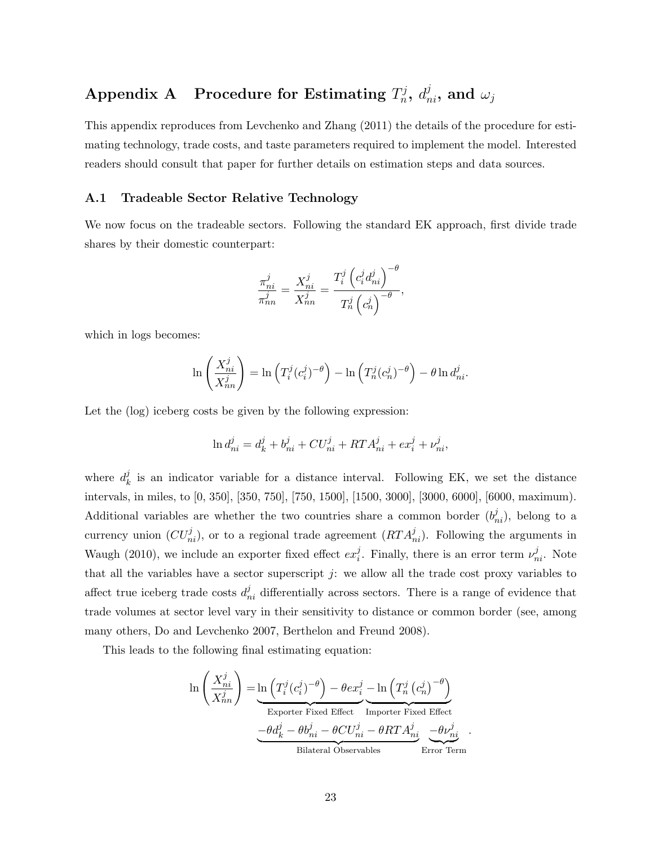#### Appendix A Procedure for Estimating  $T_n^j$  $n^j_j,~d^j_{ni},~\text{and}~~\omega_j$

This appendix reproduces from Levchenko and Zhang (2011) the details of the procedure for estimating technology, trade costs, and taste parameters required to implement the model. Interested readers should consult that paper for further details on estimation steps and data sources.

#### A.1 Tradeable Sector Relative Technology

We now focus on the tradeable sectors. Following the standard EK approach, first divide trade shares by their domestic counterpart:

$$
\frac{\pi_{ni}^j}{\pi_{nn}^j} = \frac{X_{ni}^j}{X_{nn}^j} = \frac{T_i^j \left(c_i^j d_{ni}^j\right)^{-\theta}}{T_n^j \left(c_n^j\right)^{-\theta}},
$$

which in logs becomes:

$$
\ln\left(\frac{X_{ni}^j}{X_{nn}^j}\right) = \ln\left(T_i^j(c_i^j)^{-\theta}\right) - \ln\left(T_n^j(c_n^j)^{-\theta}\right) - \theta \ln d_{ni}^j.
$$

Let the (log) iceberg costs be given by the following expression:

$$
\ln d_{ni}^j = d_k^j + b_{ni}^j + C U_{ni}^j + RT A_{ni}^j + e x_i^j + \nu_{ni}^j,
$$

where  $d_k^j$  $\mu_k^j$  is an indicator variable for a distance interval. Following EK, we set the distance intervals, in miles, to [0, 350], [350, 750], [750, 1500], [1500, 3000], [3000, 6000], [6000, maximum). Additional variables are whether the two countries share a common border  $(b_n^j)$ , belong to a currency union  $(CU_{ni}^j)$ , or to a regional trade agreement  $(RTA_{ni}^j)$ . Following the arguments in Waugh (2010), we include an exporter fixed effect  $ex_i^j$  $i$ . Finally, there is an error term  $\nu_{ni}^{j}$ . Note that all the variables have a sector superscript  $j$ : we allow all the trade cost proxy variables to affect true iceberg trade costs  $d_{ni}^j$  differentially across sectors. There is a range of evidence that trade volumes at sector level vary in their sensitivity to distance or common border (see, among many others, Do and Levchenko 2007, Berthelon and Freund 2008).

This leads to the following final estimating equation:

$$
\ln\left(\frac{X_{ni}^j}{X_{nn}^j}\right) = \underbrace{\ln\left(T_i^j(c_i^j)^{-\theta}\right) - \theta ex_i^j}_{\text{Experter Fixed Effect}} - \underbrace{\ln\left(T_n^j(c_n^j)^{-\theta}\right)}_{\text{Importer Fixed Effect}}
$$

$$
\underbrace{-\theta d_k^j - \theta b_{ni}^j - \theta C U_{ni}^j - \theta RT A_{ni}^j}_{\text{Bilateral Observables}} - \underbrace{\theta \nu_{ni}^j}_{\text{Error Term}}.
$$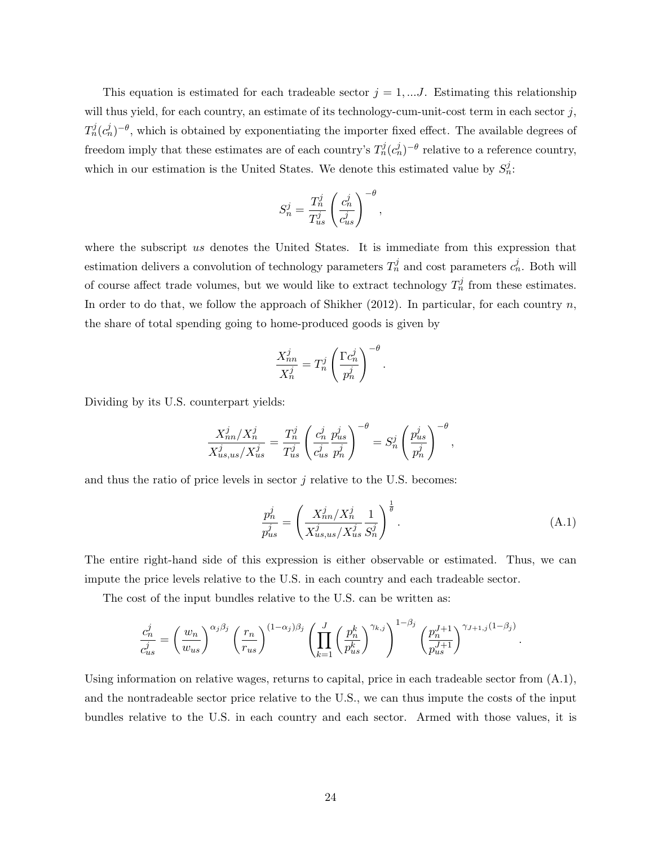This equation is estimated for each tradeable sector  $j = 1, \dots J$ . Estimating this relationship will thus yield, for each country, an estimate of its technology-cum-unit-cost term in each sector  $j$ ,  $T_n^j(c_n^j)^{-\theta}$ , which is obtained by exponentiating the importer fixed effect. The available degrees of freedom imply that these estimates are of each country's  $T_n^j(c_n^j)^{-\theta}$  relative to a reference country, which in our estimation is the United States. We denote this estimated value by  $S_n^j$ :

$$
S_n^j = \frac{T_n^j}{T_{us}^j} \left(\frac{c_n^j}{c_{us}^j}\right)^{-\theta},\,
$$

where the subscript us denotes the United States. It is immediate from this expression that estimation delivers a convolution of technology parameters  $T_n^j$  and cost parameters  $c_n^j$ . Both will of course affect trade volumes, but we would like to extract technology  $T_n^j$  from these estimates. In order to do that, we follow the approach of Shikher  $(2012)$ . In particular, for each country n, the share of total spending going to home-produced goods is given by

$$
\frac{X_{nn}^j}{X_n^j} = T_n^j \left(\frac{\Gamma c_n^j}{p_n^j}\right)^{-\theta}.
$$

Dividing by its U.S. counterpart yields:

$$
\frac{X_{nn}^j/X_{n}^j}{X_{us,us}^j/X_{us}^j} = \frac{T_n^j}{T_{us}^j}\left(\frac{c_n^j}{c_{us}^j}\frac{p_{us}^j}{p_n^j}\right)^{-\theta} = S_n^j\left(\frac{p_{us}^j}{p_n^j}\right)^{-\theta},
$$

and thus the ratio of price levels in sector  $j$  relative to the U.S. becomes:

$$
\frac{p_n^j}{p_{us}^j} = \left(\frac{X_{nn}^j/X_{n}^j}{X_{us,us}^j/X_{us}^j} \frac{1}{S_n^j}\right)^{\frac{1}{\theta}}.
$$
\n(A.1)

.

The entire right-hand side of this expression is either observable or estimated. Thus, we can impute the price levels relative to the U.S. in each country and each tradeable sector.

The cost of the input bundles relative to the U.S. can be written as:

$$
\frac{c_n^j}{c_{us}^j} = \left(\frac{w_n}{w_{us}}\right)^{\alpha_j \beta_j} \left(\frac{r_n}{r_{us}}\right)^{(1-\alpha_j)\beta_j} \left(\prod_{k=1}^J \left(\frac{p_n^k}{p_{us}^k}\right)^{\gamma_{k,j}}\right)^{1-\beta_j} \left(\frac{p_n^{J+1}}{p_{us}^{J+1}}\right)^{\gamma_{J+1,j}(1-\beta_j)}
$$

Using information on relative wages, returns to capital, price in each tradeable sector from (A.1), and the nontradeable sector price relative to the U.S., we can thus impute the costs of the input bundles relative to the U.S. in each country and each sector. Armed with those values, it is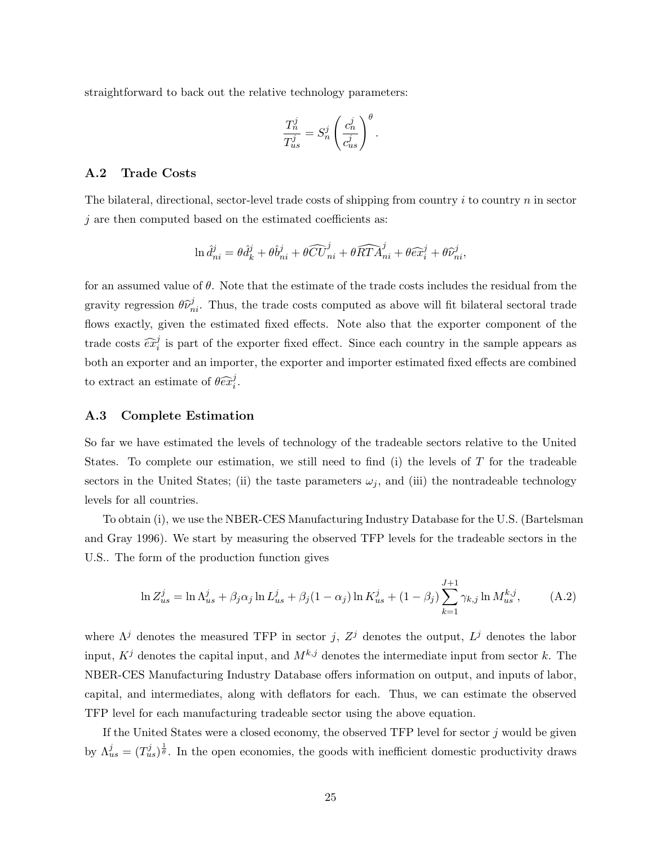straightforward to back out the relative technology parameters:

$$
\frac{T_n^j}{T_{us}^j} = S_n^j \left(\frac{c_n^j}{c_{us}^j}\right)^{\theta}.
$$

#### A.2 Trade Costs

The bilateral, directional, sector-level trade costs of shipping from country  $i$  to country  $n$  in sector j are then computed based on the estimated coefficients as:

$$
\ln \hat{d}_{ni}^j = \theta \hat{d}_k^j + \theta \hat{b}_{ni}^j + \theta \widehat{CU}_{ni}^j + \theta \widehat{RTA}_{ni}^j + \theta \widehat{ex}_i^j + \theta \widehat{\nu}_{ni}^j,
$$

for an assumed value of  $\theta$ . Note that the estimate of the trade costs includes the residual from the gravity regression  $\theta \hat{\nu}_{ni}^j$ . Thus, the trade costs computed as above will fit bilateral sectoral trade flows exactly, given the estimated fixed effects. Note also that the exporter component of the trade costs  $\widehat{ex}_i^j$  is part of the exporter fixed effect. Since each country in the sample appears as both an exporter and an importer, the exporter and importer estimated fixed effects are combined to extract an estimate of  $\theta \widehat{ex}_i^j$ .

#### A.3 Complete Estimation

So far we have estimated the levels of technology of the tradeable sectors relative to the United States. To complete our estimation, we still need to find (i) the levels of  $T$  for the tradeable sectors in the United States; (ii) the taste parameters  $\omega_j$ , and (iii) the nontradeable technology levels for all countries.

To obtain (i), we use the NBER-CES Manufacturing Industry Database for the U.S. (Bartelsman and Gray 1996). We start by measuring the observed TFP levels for the tradeable sectors in the U.S.. The form of the production function gives

$$
\ln Z_{us}^j = \ln \Lambda_{us}^j + \beta_j \alpha_j \ln L_{us}^j + \beta_j (1 - \alpha_j) \ln K_{us}^j + (1 - \beta_j) \sum_{k=1}^{J+1} \gamma_{k,j} \ln M_{us}^{k,j}, \tag{A.2}
$$

where  $\Lambda^j$  denotes the measured TFP in sector j,  $Z^j$  denotes the output,  $L^j$  denotes the labor input,  $K^j$  denotes the capital input, and  $M^{k,j}$  denotes the intermediate input from sector k. The NBER-CES Manufacturing Industry Database offers information on output, and inputs of labor, capital, and intermediates, along with deflators for each. Thus, we can estimate the observed TFP level for each manufacturing tradeable sector using the above equation.

If the United States were a closed economy, the observed TFP level for sector  $j$  would be given by  $\Lambda_{us}^j = (T_{us}^j)^{\frac{1}{\theta}}$ . In the open economies, the goods with inefficient domestic productivity draws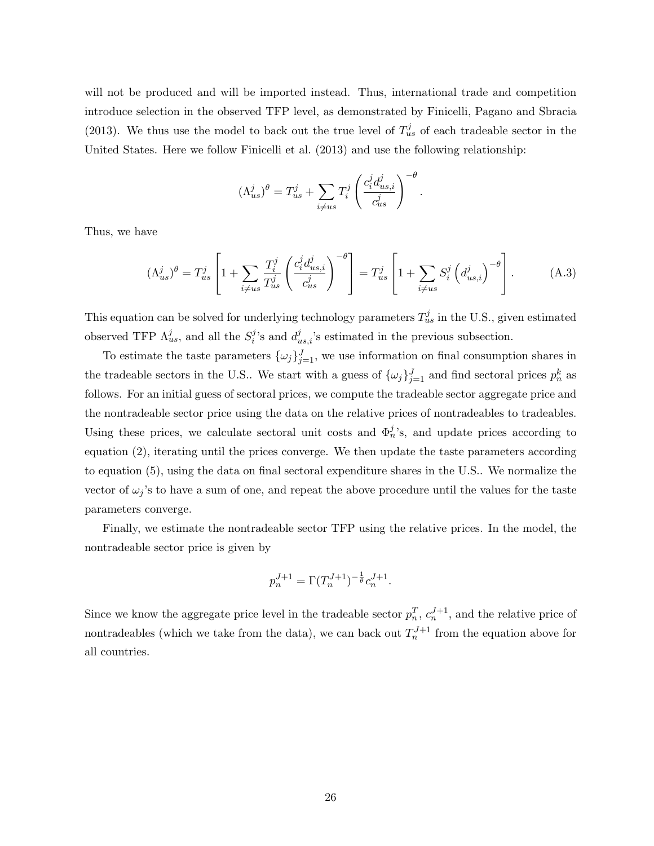will not be produced and will be imported instead. Thus, international trade and competition introduce selection in the observed TFP level, as demonstrated by Finicelli, Pagano and Sbracia (2013). We thus use the model to back out the true level of  $T_{us}^j$  of each tradeable sector in the United States. Here we follow Finicelli et al. (2013) and use the following relationship:

$$
(\Lambda_{us}^j)^\theta = T_{us}^j + \sum_{i \neq us} T_i^j \left( \frac{c_i^j d_{us,i}^j}{c_{us}^j} \right)^{-\theta}
$$

Thus, we have

$$
(\Lambda_{us}^j)^\theta = T_{us}^j \left[ 1 + \sum_{i \neq us} \frac{T_i^j}{T_{us}^j} \left( \frac{c_i^j d_{us,i}^j}{c_{us}^j} \right)^{-\theta} \right] = T_{us}^j \left[ 1 + \sum_{i \neq us} S_i^j \left( d_{us,i}^j \right)^{-\theta} \right].
$$
 (A.3)

.

This equation can be solved for underlying technology parameters  $T_{us}^j$  in the U.S., given estimated observed TFP  $\Lambda_{us}^j$ , and all the  $S_i^j$  $i^{j}$ 's and  $d_{us,i}^{j}$ 's estimated in the previous subsection.

To estimate the taste parameters  $\{\omega_j\}_{j=1}^J$ , we use information on final consumption shares in the tradeable sectors in the U.S.. We start with a guess of  $\{\omega_j\}_{j=1}^J$  and find sectoral prices  $p_n^k$  as follows. For an initial guess of sectoral prices, we compute the tradeable sector aggregate price and the nontradeable sector price using the data on the relative prices of nontradeables to tradeables. Using these prices, we calculate sectoral unit costs and  $\Phi_n^j$ 's, and update prices according to equation (2), iterating until the prices converge. We then update the taste parameters according to equation (5), using the data on final sectoral expenditure shares in the U.S.. We normalize the vector of  $\omega_i$ 's to have a sum of one, and repeat the above procedure until the values for the taste parameters converge.

Finally, we estimate the nontradeable sector TFP using the relative prices. In the model, the nontradeable sector price is given by

$$
p_n^{J+1} = \Gamma(T_n^{J+1})^{-\frac{1}{\theta}} c_n^{J+1}.
$$

Since we know the aggregate price level in the tradeable sector  $p_n^T, c_n^{J+1}$ , and the relative price of nontradeables (which we take from the data), we can back out  $T_n^{J+1}$  from the equation above for all countries.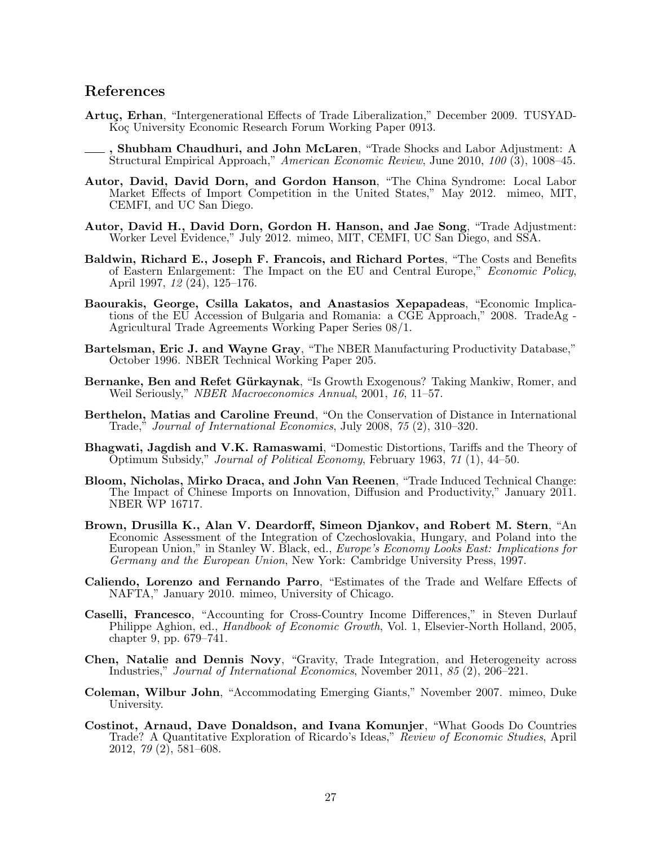# References

- Artuç, Erhan, "Intergenerational Effects of Trade Liberalization," December 2009. TUSYAD-Koç University Economic Research Forum Working Paper 0913.
- , Shubham Chaudhuri, and John McLaren, "Trade Shocks and Labor Adjustment: A Structural Empirical Approach," American Economic Review, June 2010, 100 (3), 1008–45.
- Autor, David, David Dorn, and Gordon Hanson, "The China Syndrome: Local Labor Market Effects of Import Competition in the United States," May 2012. mimeo, MIT, CEMFI, and UC San Diego.
- Autor, David H., David Dorn, Gordon H. Hanson, and Jae Song, "Trade Adjustment: Worker Level Evidence," July 2012. mimeo, MIT, CEMFI, UC San Diego, and SSA.
- Baldwin, Richard E., Joseph F. Francois, and Richard Portes, "The Costs and Benefits of Eastern Enlargement: The Impact on the EU and Central Europe," Economic Policy, April 1997, 12 (24), 125–176.
- Baourakis, George, Csilla Lakatos, and Anastasios Xepapadeas, "Economic Implications of the EU Accession of Bulgaria and Romania: a CGE Approach," 2008. TradeAg - Agricultural Trade Agreements Working Paper Series 08/1.
- Bartelsman, Eric J. and Wayne Gray, "The NBER Manufacturing Productivity Database," October 1996. NBER Technical Working Paper 205.
- Bernanke, Ben and Refet Gürkaynak, "Is Growth Exogenous? Taking Mankiw, Romer, and Weil Seriously," NBER Macroeconomics Annual, 2001, 16, 11–57.
- Berthelon, Matias and Caroline Freund, "On the Conservation of Distance in International Trade," Journal of International Economics, July 2008, 75 (2), 310–320.
- Bhagwati, Jagdish and V.K. Ramaswami, "Domestic Distortions, Tariffs and the Theory of Optimum Subsidy," Journal of Political Economy, February 1963, 71 (1), 44–50.
- Bloom, Nicholas, Mirko Draca, and John Van Reenen, "Trade Induced Technical Change: The Impact of Chinese Imports on Innovation, Diffusion and Productivity," January 2011. NBER WP 16717.
- Brown, Drusilla K., Alan V. Deardorff, Simeon Djankov, and Robert M. Stern, "An Economic Assessment of the Integration of Czechoslovakia, Hungary, and Poland into the European Union," in Stanley W. Black, ed., Europe's Economy Looks East: Implications for Germany and the European Union, New York: Cambridge University Press, 1997.
- Caliendo, Lorenzo and Fernando Parro, "Estimates of the Trade and Welfare Effects of NAFTA," January 2010. mimeo, University of Chicago.
- Caselli, Francesco, "Accounting for Cross-Country Income Differences," in Steven Durlauf Philippe Aghion, ed., *Handbook of Economic Growth*, Vol. 1, Elsevier-North Holland, 2005, chapter 9, pp. 679–741.
- Chen, Natalie and Dennis Novy, "Gravity, Trade Integration, and Heterogeneity across Industries," Journal of International Economics, November 2011, 85 (2), 206–221.
- Coleman, Wilbur John, "Accommodating Emerging Giants," November 2007. mimeo, Duke University.
- Costinot, Arnaud, Dave Donaldson, and Ivana Komunjer, "What Goods Do Countries Trade? A Quantitative Exploration of Ricardo's Ideas," Review of Economic Studies, April 2012, 79 (2), 581–608.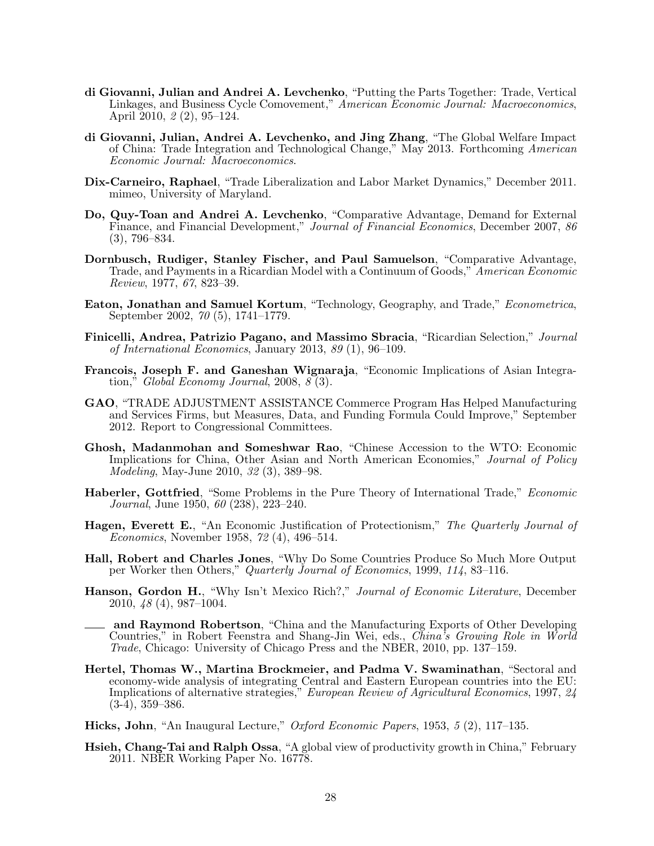- di Giovanni, Julian and Andrei A. Levchenko, "Putting the Parts Together: Trade, Vertical Linkages, and Business Cycle Comovement," American Economic Journal: Macroeconomics, April 2010, 2 (2), 95–124.
- di Giovanni, Julian, Andrei A. Levchenko, and Jing Zhang, "The Global Welfare Impact of China: Trade Integration and Technological Change," May 2013. Forthcoming American Economic Journal: Macroeconomics.
- Dix-Carneiro, Raphael, "Trade Liberalization and Labor Market Dynamics," December 2011. mimeo, University of Maryland.
- Do, Quy-Toan and Andrei A. Levchenko, "Comparative Advantage, Demand for External Finance, and Financial Development," Journal of Financial Economics, December 2007, 86 (3), 796–834.
- Dornbusch, Rudiger, Stanley Fischer, and Paul Samuelson, "Comparative Advantage, Trade, and Payments in a Ricardian Model with a Continuum of Goods," American Economic Review, 1977, 67, 823–39.
- Eaton, Jonathan and Samuel Kortum, "Technology, Geography, and Trade," Econometrica, September 2002, 70 (5), 1741–1779.
- Finicelli, Andrea, Patrizio Pagano, and Massimo Sbracia, "Ricardian Selection," Journal of International Economics, January 2013, 89 (1), 96–109.
- Francois, Joseph F. and Ganeshan Wignaraja, "Economic Implications of Asian Integration," Global Economy Journal,  $2008, 8(3)$ .
- GAO, "TRADE ADJUSTMENT ASSISTANCE Commerce Program Has Helped Manufacturing and Services Firms, but Measures, Data, and Funding Formula Could Improve," September 2012. Report to Congressional Committees.
- Ghosh, Madanmohan and Someshwar Rao, "Chinese Accession to the WTO: Economic Implications for China, Other Asian and North American Economies," Journal of Policy Modeling, May-June 2010, 32 (3), 389–98.
- Haberler, Gottfried, "Some Problems in the Pure Theory of International Trade," Economic Journal, June 1950, 60 (238), 223–240.
- Hagen, Everett E., "An Economic Justification of Protectionism," The Quarterly Journal of Economics, November 1958, 72 (4), 496–514.
- Hall, Robert and Charles Jones, "Why Do Some Countries Produce So Much More Output per Worker then Others," Quarterly Journal of Economics, 1999, 114, 83–116.
- **Hanson, Gordon H.**, "Why Isn't Mexico Rich?," Journal of Economic Literature, December 2010, 48 (4), 987–1004.
- and Raymond Robertson, "China and the Manufacturing Exports of Other Developing Countries," in Robert Feenstra and Shang-Jin Wei, eds., China's Growing Role in World Trade, Chicago: University of Chicago Press and the NBER, 2010, pp. 137–159.
- Hertel, Thomas W., Martina Brockmeier, and Padma V. Swaminathan, "Sectoral and economy-wide analysis of integrating Central and Eastern European countries into the EU: Implications of alternative strategies," European Review of Agricultural Economics, 1997, 24  $(3-4), 359-386.$
- Hicks, John, "An Inaugural Lecture," Oxford Economic Papers, 1953, 5 (2), 117–135.
- Hsieh, Chang-Tai and Ralph Ossa, "A global view of productivity growth in China," February 2011. NBER Working Paper No. 16778.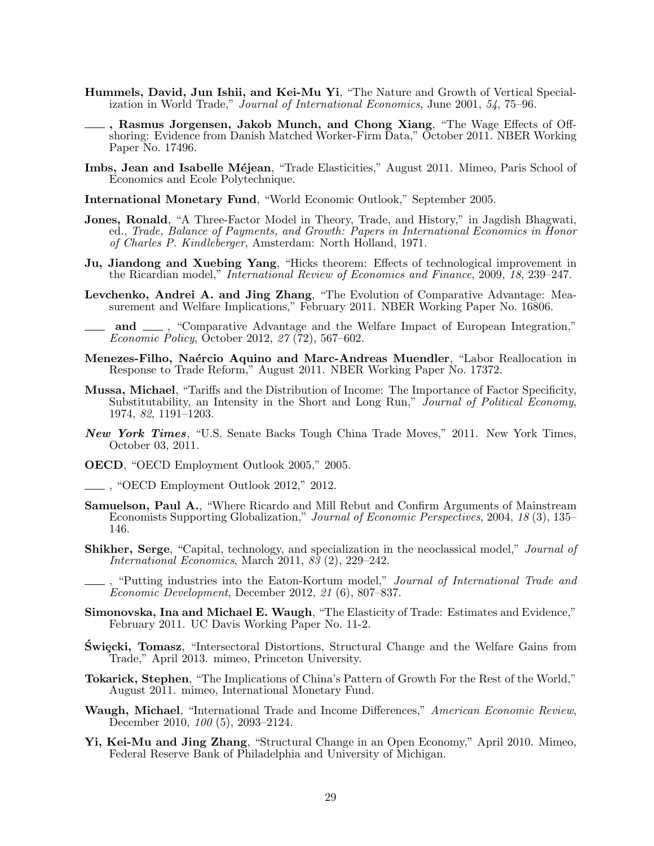- Hummels, David, Jun Ishii, and Kei-Mu Yi, "The Nature and Growth of Vertical Specialization in World Trade," Journal of International Economics, June 2001, 54, 75–96.
- , Rasmus Jorgensen, Jakob Munch, and Chong Xiang, "The Wage Effects of Offshoring: Evidence from Danish Matched Worker-Firm Data," October 2011. NBER Working Paper No. 17496.
- Imbs, Jean and Isabelle Méjean, "Trade Elasticities," August 2011. Mimeo, Paris School of Economics and Ecole Polytechnique.
- International Monetary Fund, "World Economic Outlook," September 2005.
- Jones, Ronald, "A Three-Factor Model in Theory, Trade, and History," in Jagdish Bhagwati, ed., Trade, Balance of Payments, and Growth: Papers in International Economics in Honor of Charles P. Kindleberger, Amsterdam: North Holland, 1971.
- Ju, Jiandong and Xuebing Yang, "Hicks theorem: Effects of technological improvement in the Ricardian model," International Review of Economics and Finance, 2009, 18, 239–247.
- Levchenko, Andrei A. and Jing Zhang, "The Evolution of Comparative Advantage: Measurement and Welfare Implications," February 2011. NBER Working Paper No. 16806.
	- and  $\mu$ , "Comparative Advantage and the Welfare Impact of European Integration," Economic Policy, October 2012, 27 (72), 567–602.
- Menezes-Filho, Naércio Aquino and Marc-Andreas Muendler, "Labor Reallocation in Response to Trade Reform," August 2011. NBER Working Paper No. 17372.
- Mussa, Michael, "Tariffs and the Distribution of Income: The Importance of Factor Specificity, Substitutability, an Intensity in the Short and Long Run," *Journal of Political Economy*, 1974, 82, 1191–1203.
- New York Times, "U.S. Senate Backs Tough China Trade Moves," 2011. New York Times, October 03, 2011.
- OECD, "OECD Employment Outlook 2005," 2005.
- , "OECD Employment Outlook 2012," 2012.
- Samuelson, Paul A., "Where Ricardo and Mill Rebut and Confirm Arguments of Mainstream Economists Supporting Globalization," Journal of Economic Perspectives, 2004, 18 (3), 135– 146.
- Shikher, Serge, "Capital, technology, and specialization in the neoclassical model," Journal of International Economics, March 2011, 83 (2), 229–242.
- , "Putting industries into the Eaton-Kortum model," Journal of International Trade and Economic Development, December 2012, 21 (6), 807–837.
- Simonovska, Ina and Michael E. Waugh, "The Elasticity of Trade: Estimates and Evidence," February 2011. UC Davis Working Paper No. 11-2.
- Swięcki, Tomasz, "Intersectoral Distortions, Structural Change and the Welfare Gains from Trade," April 2013. mimeo, Princeton University.
- Tokarick, Stephen, "The Implications of China's Pattern of Growth For the Rest of the World," August 2011. mimeo, International Monetary Fund.
- Waugh, Michael, "International Trade and Income Differences," American Economic Review, December 2010, 100 (5), 2093–2124.
- Yi, Kei-Mu and Jing Zhang, "Structural Change in an Open Economy," April 2010. Mimeo, Federal Reserve Bank of Philadelphia and University of Michigan.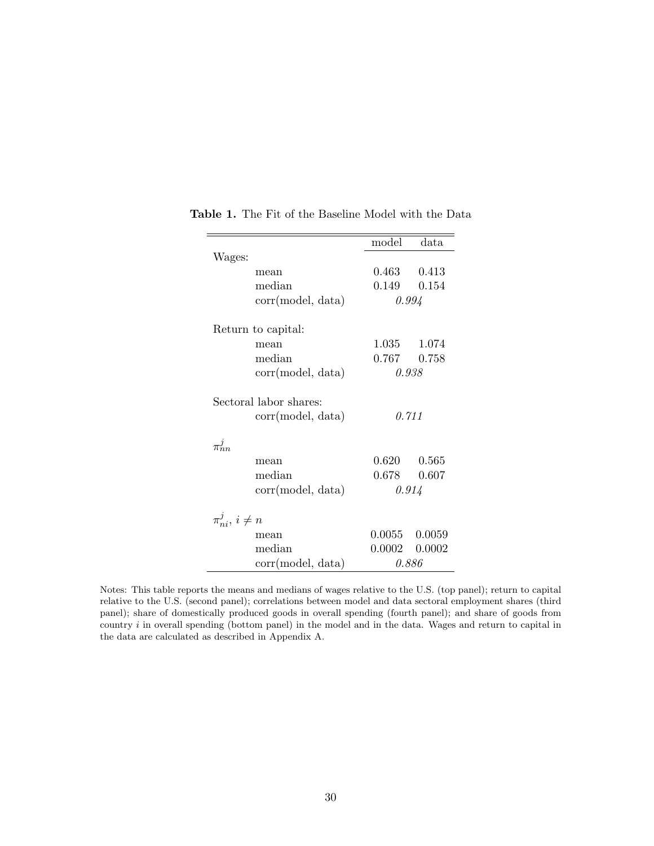|                        | model | data              |
|------------------------|-------|-------------------|
| Wages:                 |       |                   |
| mean                   |       | $0.463$ $0.413$   |
| median                 |       | $0.149$ $0.154$   |
| corr(model, data)      |       | 0.994             |
| Return to capital:     |       |                   |
| mean                   | 1.035 | 1.074             |
| median                 |       | 0.767 0.758       |
| corr(model, data)      |       | 0.938             |
| Sectoral labor shares: |       |                   |
| corr(model, data)      | 0.711 |                   |
| $\pi^j_{nn}$           |       |                   |
| mean                   |       | $0.620$ $0.565$   |
| median                 |       | 0.678 0.607       |
| corr(model, data)      | 0.914 |                   |
| $\pi_{ni}^j, i \neq n$ |       |                   |
| mean                   |       | 0.0055 0.0059     |
| median                 |       | $0.0002$ $0.0002$ |
| corr(model, data)      |       | 0.886             |

Table 1. The Fit of the Baseline Model with the Data

Notes: This table reports the means and medians of wages relative to the U.S. (top panel); return to capital relative to the U.S. (second panel); correlations between model and data sectoral employment shares (third panel); share of domestically produced goods in overall spending (fourth panel); and share of goods from country i in overall spending (bottom panel) in the model and in the data. Wages and return to capital in the data are calculated as described in Appendix A.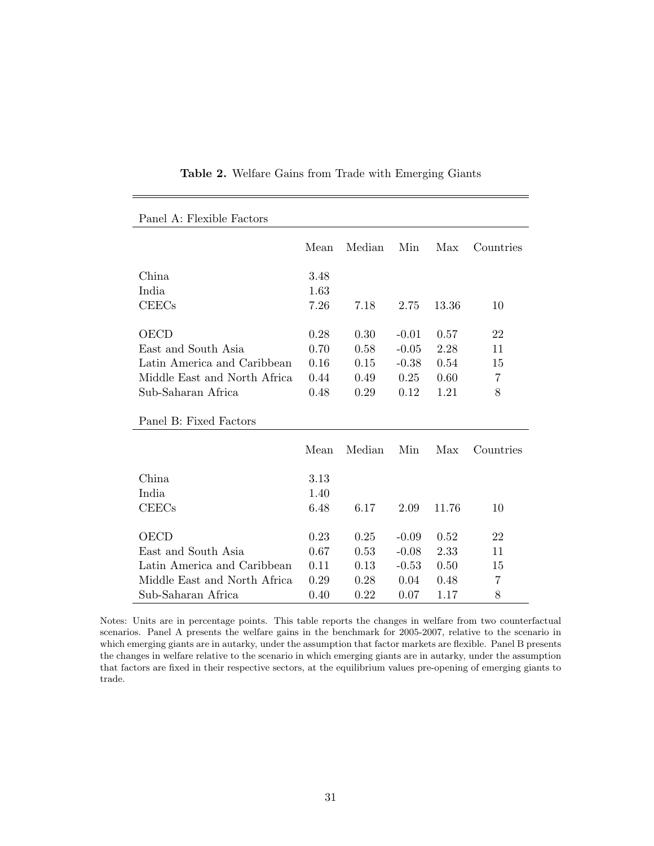| Panel A: Flexible Factors    |      |        |         |       |                |
|------------------------------|------|--------|---------|-------|----------------|
|                              | Mean | Median | Min     | Max   | Countries      |
| China                        | 3.48 |        |         |       |                |
| India                        | 1.63 |        |         |       |                |
| <b>CEECs</b>                 | 7.26 | 7.18   | 2.75    | 13.36 | 10             |
| <b>OECD</b>                  | 0.28 | 0.30   | $-0.01$ | 0.57  | 22             |
| East and South Asia          | 0.70 | 0.58   | $-0.05$ | 2.28  | 11             |
| Latin America and Caribbean  | 0.16 | 0.15   | $-0.38$ | 0.54  | 15             |
| Middle East and North Africa | 0.44 | 0.49   | 0.25    | 0.60  | $\overline{7}$ |
| Sub-Saharan Africa           | 0.48 | 0.29   | 0.12    | 1.21  | 8              |
| Panel B: Fixed Factors       |      |        |         |       |                |
|                              | Mean | Median | Min     | Max   | Countries      |
| China                        | 3.13 |        |         |       |                |
| India                        | 1.40 |        |         |       |                |
| <b>CEECs</b>                 | 6.48 | 6.17   | 2.09    | 11.76 | 10             |
| <b>OECD</b>                  | 0.23 | 0.25   | $-0.09$ | 0.52  | 22             |
| East and South Asia          | 0.67 | 0.53   | $-0.08$ | 2.33  | 11             |
| Latin America and Caribbean  | 0.11 | 0.13   | $-0.53$ | 0.50  | 15             |
| Middle East and North Africa | 0.29 | 0.28   | 0.04    | 0.48  | 7              |
| Sub-Saharan Africa           | 0.40 | 0.22   | 0.07    | 1.17  | 8              |

#### Table 2. Welfare Gains from Trade with Emerging Giants

Notes: Units are in percentage points. This table reports the changes in welfare from two counterfactual scenarios. Panel A presents the welfare gains in the benchmark for 2005-2007, relative to the scenario in which emerging giants are in autarky, under the assumption that factor markets are flexible. Panel B presents the changes in welfare relative to the scenario in which emerging giants are in autarky, under the assumption that factors are fixed in their respective sectors, at the equilibrium values pre-opening of emerging giants to trade.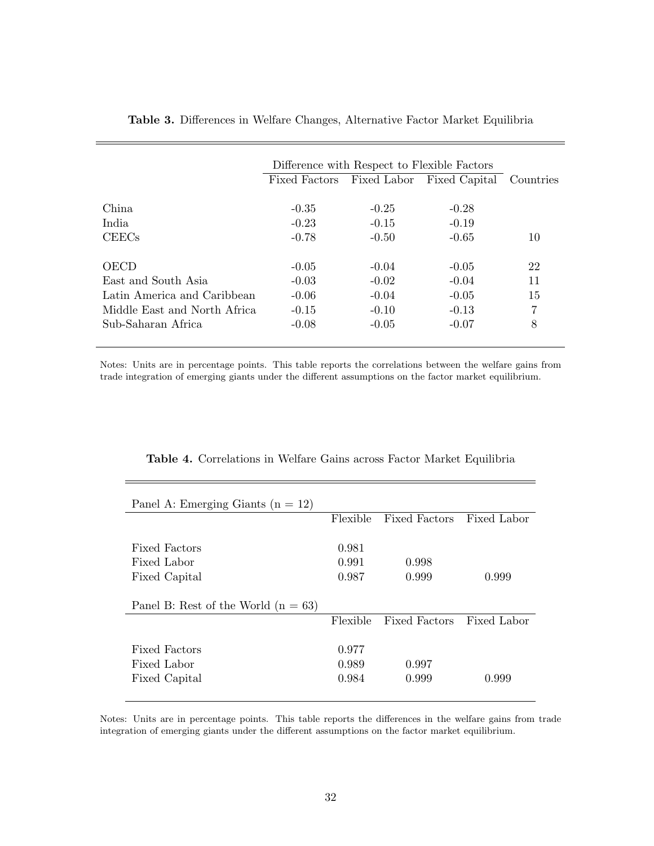|                              | Difference with Respect to Flexible Factors |         |                           |           |  |  |
|------------------------------|---------------------------------------------|---------|---------------------------|-----------|--|--|
|                              | Fixed Factors                               |         | Fixed Labor Fixed Capital | Countries |  |  |
| China.                       | $-0.35$                                     | $-0.25$ | $-0.28$                   |           |  |  |
| India                        | $-0.23$                                     | $-0.15$ | $-0.19$                   |           |  |  |
| <b>CEECs</b>                 | $-0.78$                                     | $-0.50$ | $-0.65$                   | 10        |  |  |
|                              |                                             |         |                           |           |  |  |
| <b>OECD</b>                  | $-0.05$                                     | $-0.04$ | $-0.05$                   | 22        |  |  |
| East and South Asia          | $-0.03$                                     | $-0.02$ | $-0.04$                   | 11        |  |  |
| Latin America and Caribbean  | $-0.06$                                     | $-0.04$ | $-0.05$                   | 15        |  |  |
| Middle East and North Africa | $-0.15$                                     | $-0.10$ | $-0.13$                   | 7         |  |  |
| Sub-Saharan Africa           | $-0.08$                                     | $-0.05$ | $-0.07$                   | 8         |  |  |
|                              |                                             |         |                           |           |  |  |

### Table 3. Differences in Welfare Changes, Alternative Factor Market Equilibria

Notes: Units are in percentage points. This table reports the correlations between the welfare gains from trade integration of emerging giants under the different assumptions on the factor market equilibrium.

| Panel A: Emerging Giants ( $n = 12$ ) |          |                      |             |
|---------------------------------------|----------|----------------------|-------------|
|                                       | Flexible | Fixed Factors        | Fixed Labor |
|                                       |          |                      |             |
| <b>Fixed Factors</b>                  | 0.981    |                      |             |
| Fixed Labor                           | 0.991    | 0.998                |             |
| Fixed Capital                         | 0.987    | 0.999                | 0.999       |
|                                       |          |                      |             |
| Panel B: Rest of the World $(n = 63)$ |          |                      |             |
|                                       |          |                      |             |
|                                       | Flexible | <b>Fixed Factors</b> | Fixed Labor |
|                                       |          |                      |             |
| <b>Fixed Factors</b>                  | 0.977    |                      |             |
| Fixed Labor                           | 0.989    | 0.997                |             |
| Fixed Capital                         | 0.984    | 0.999                | 0.999       |

#### Table 4. Correlations in Welfare Gains across Factor Market Equilibria

Notes: Units are in percentage points. This table reports the differences in the welfare gains from trade integration of emerging giants under the different assumptions on the factor market equilibrium.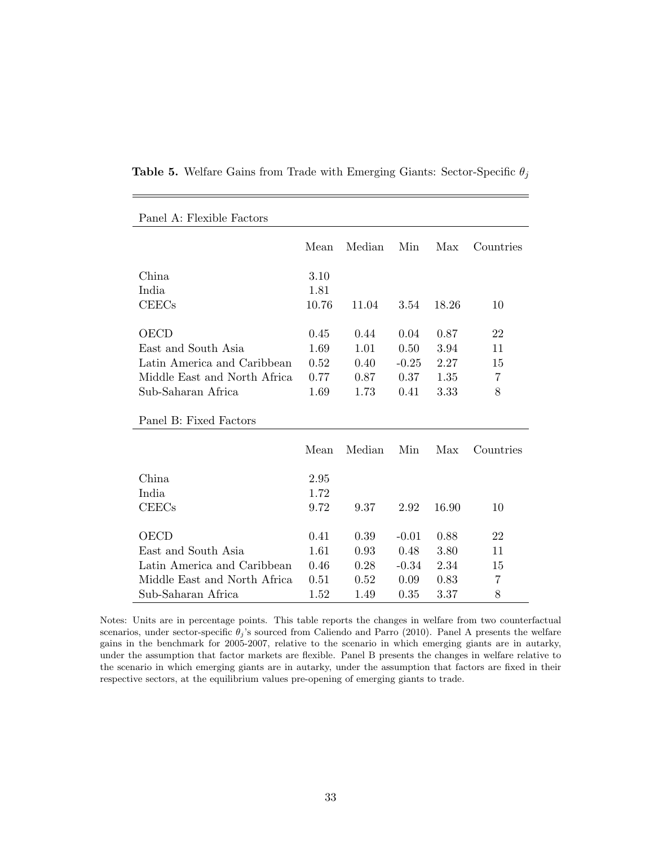| Panel A: Flexible Factors    |       |        |         |       |                |
|------------------------------|-------|--------|---------|-------|----------------|
|                              | Mean  | Median | Min     | Max   | Countries      |
| China                        | 3.10  |        |         |       |                |
| India                        | 1.81  |        |         |       |                |
| <b>CEECs</b>                 | 10.76 | 11.04  | 3.54    | 18.26 | 10             |
| <b>OECD</b>                  | 0.45  | 0.44   | 0.04    | 0.87  | 22             |
| East and South Asia          | 1.69  | 1.01   | 0.50    | 3.94  | 11             |
| Latin America and Caribbean  | 0.52  | 0.40   | $-0.25$ | 2.27  | 15             |
| Middle East and North Africa | 0.77  | 0.87   | 0.37    | 1.35  | $\overline{7}$ |
| Sub-Saharan Africa           | 1.69  | 1.73   | 0.41    | 3.33  | 8              |
| Panel B: Fixed Factors       |       |        |         |       |                |
|                              |       |        |         |       |                |
|                              | Mean  | Median | Min     | Max   | Countries      |
| China                        | 2.95  |        |         |       |                |
| India                        | 1.72  |        |         |       |                |
| <b>CEECs</b>                 | 9.72  | 9.37   | 2.92    | 16.90 | 10             |
| <b>OECD</b>                  | 0.41  | 0.39   | $-0.01$ | 0.88  | 22             |
| East and South Asia          | 1.61  | 0.93   | 0.48    | 3.80  | 11             |
| Latin America and Caribbean  | 0.46  | 0.28   | $-0.34$ | 2.34  | 15             |
| Middle East and North Africa | 0.51  | 0.52   | 0.09    | 0.83  | 7              |

## **Table 5.** Welfare Gains from Trade with Emerging Giants: Sector-Specific  $\theta_j$

Notes: Units are in percentage points. This table reports the changes in welfare from two counterfactual scenarios, under sector-specific  $\theta_j$ 's sourced from Caliendo and Parro (2010). Panel A presents the welfare gains in the benchmark for 2005-2007, relative to the scenario in which emerging giants are in autarky, under the assumption that factor markets are flexible. Panel B presents the changes in welfare relative to the scenario in which emerging giants are in autarky, under the assumption that factors are fixed in their respective sectors, at the equilibrium values pre-opening of emerging giants to trade.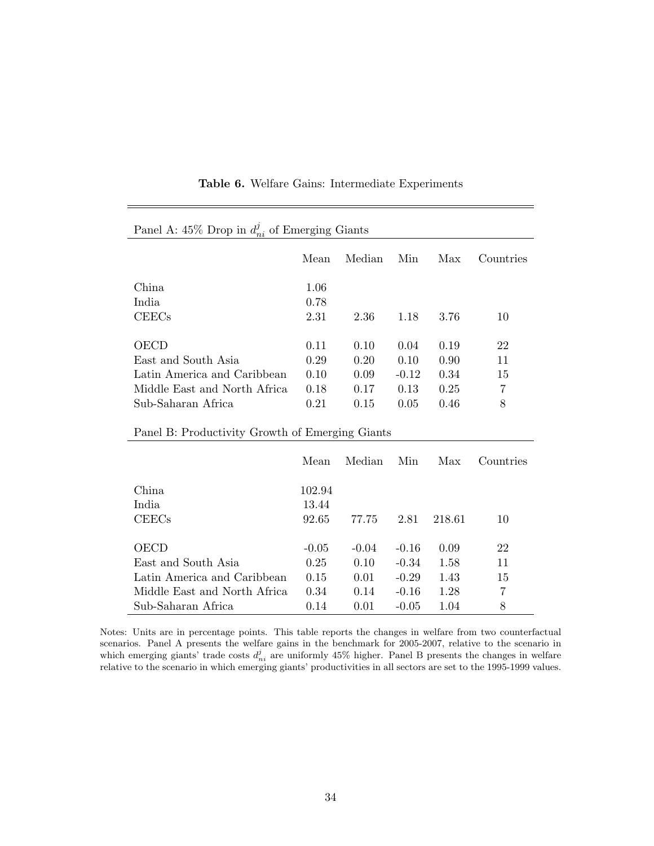| Panel A: 45% Drop in $d_{ni}^j$ of Emerging Giants |         |         |         |        |                |
|----------------------------------------------------|---------|---------|---------|--------|----------------|
|                                                    | Mean    | Median  | Min     | Max    | Countries      |
| China                                              | 1.06    |         |         |        |                |
| India                                              | 0.78    |         |         |        |                |
| <b>CEECs</b>                                       | 2.31    | 2.36    | 1.18    | 3.76   | 10             |
| <b>OECD</b>                                        | 0.11    | 0.10    | 0.04    | 0.19   | 22             |
| East and South Asia                                | 0.29    | 0.20    | 0.10    | 0.90   | 11             |
| Latin America and Caribbean                        | 0.10    | 0.09    | $-0.12$ | 0.34   | 15             |
| Middle East and North Africa                       | 0.18    | 0.17    | 0.13    | 0.25   | $\overline{7}$ |
| Sub-Saharan Africa                                 | 0.21    | 0.15    | 0.05    | 0.46   | 8              |
| Panel B: Productivity Growth of Emerging Giants    |         |         |         |        |                |
|                                                    | Mean    | Median  | Min     | Max    | Countries      |
| China                                              | 102.94  |         |         |        |                |
| India                                              | 13.44   |         |         |        |                |
| <b>CEECs</b>                                       | 92.65   | 77.75   | 2.81    | 218.61 | 10             |
| <b>OECD</b>                                        | $-0.05$ | $-0.04$ | $-0.16$ | 0.09   | 22             |
| East and South Asia                                | 0.25    | 0.10    | $-0.34$ | 1.58   | 11             |
| Latin America and Caribbean                        | 0.15    | 0.01    | $-0.29$ | 1.43   | 15             |
| Middle East and North Africa                       | 0.34    | 0.14    | $-0.16$ | 1.28   | $\overline{7}$ |
| Sub-Saharan Africa                                 | 0.14    | 0.01    | $-0.05$ | 1.04   | 8              |

Table 6. Welfare Gains: Intermediate Experiments

Notes: Units are in percentage points. This table reports the changes in welfare from two counterfactual scenarios. Panel A presents the welfare gains in the benchmark for 2005-2007, relative to the scenario in which emerging giants' trade costs  $d_{ni}^j$  are uniformly 45% higher. Panel B presents the changes in welfare relative to the scenario in which emerging giants' productivities in all sectors are set to the 1995-1999 values.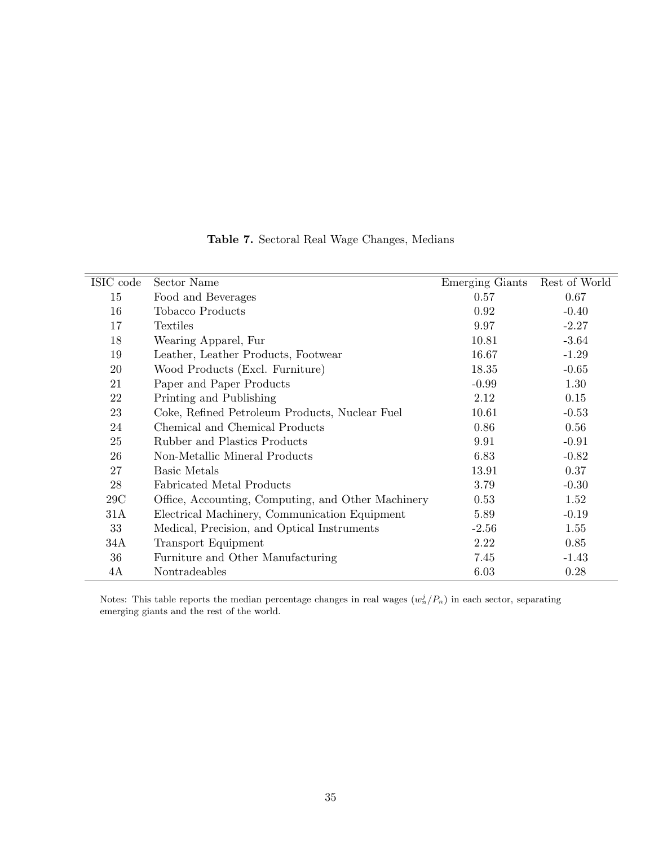| ISIC code | Sector Name                                        | Emerging Giants | Rest of World |
|-----------|----------------------------------------------------|-----------------|---------------|
| 15        | Food and Beverages                                 | 0.57            | 0.67          |
| 16        | <b>Tobacco Products</b>                            | 0.92            | $-0.40$       |
| 17        | <b>Textiles</b>                                    | 9.97            | $-2.27$       |
| 18        | Wearing Apparel, Fur                               | 10.81           | $-3.64$       |
| 19        | Leather, Leather Products, Footwear                | 16.67           | $-1.29$       |
| 20        | Wood Products (Excl. Furniture)                    | 18.35           | $-0.65$       |
| 21        | Paper and Paper Products                           | $-0.99$         | 1.30          |
| 22        | Printing and Publishing                            | 2.12            | 0.15          |
| 23        | Coke, Refined Petroleum Products, Nuclear Fuel     | 10.61           | $-0.53$       |
| 24        | Chemical and Chemical Products                     | 0.86            | 0.56          |
| 25        | Rubber and Plastics Products                       | 9.91            | $-0.91$       |
| 26        | Non-Metallic Mineral Products                      | 6.83            | $-0.82$       |
| 27        | <b>Basic Metals</b>                                | 13.91           | 0.37          |
| 28        | Fabricated Metal Products                          | 3.79            | $-0.30$       |
| 29C       | Office, Accounting, Computing, and Other Machinery | 0.53            | 1.52          |
| 31A       | Electrical Machinery, Communication Equipment      | 5.89            | $-0.19$       |
| 33        | Medical, Precision, and Optical Instruments        | $-2.56$         | 1.55          |
| 34A       | <b>Transport Equipment</b>                         | 2.22            | 0.85          |
| 36        | Furniture and Other Manufacturing                  | 7.45            | $-1.43$       |
| 4A        | Nontradeables                                      | 6.03            | 0.28          |

Table 7. Sectoral Real Wage Changes, Medians

Notes: This table reports the median percentage changes in real wages  $(w_n^j/P_n)$  in each sector, separating emerging giants and the rest of the world.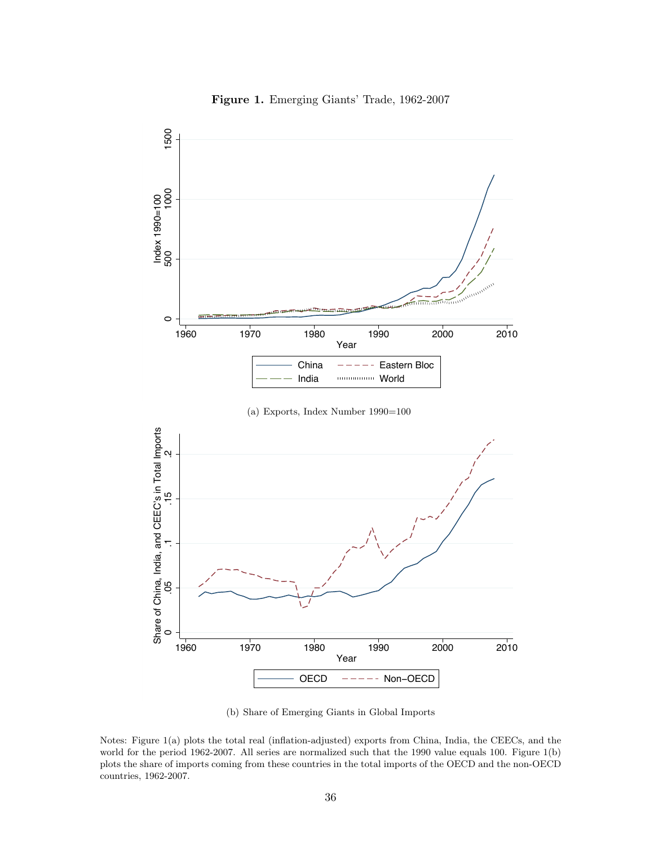



(b) Share of Emerging Giants in Global Imports

Notes: Figure 1(a) plots the total real (inflation-adjusted) exports from China, India, the CEECs, and the world for the period 1962-2007. All series are normalized such that the 1990 value equals 100. Figure 1(b) plots the share of imports coming from these countries in the total imports of the OECD and the non-OECD countries, 1962-2007.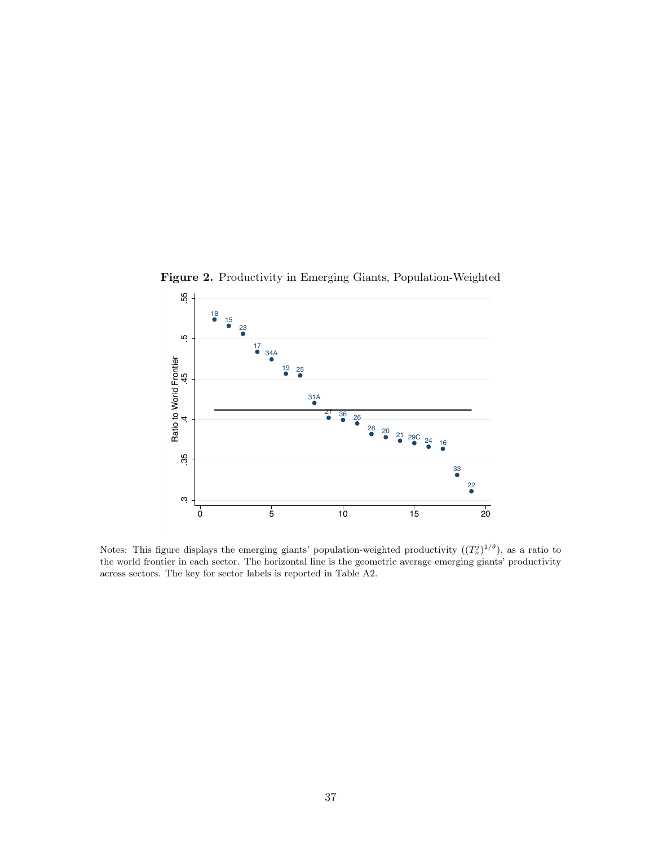

Figure 2. Productivity in Emerging Giants, Population-Weighted

Notes: This figure displays the emerging giants' population-weighted productivity  $((T_n^j)^{1/\theta})$ , as a ratio to the world frontier in each sector. The horizontal line is the geometric average emerging giants' productivity across sectors. The key for sector labels is reported in Table A2.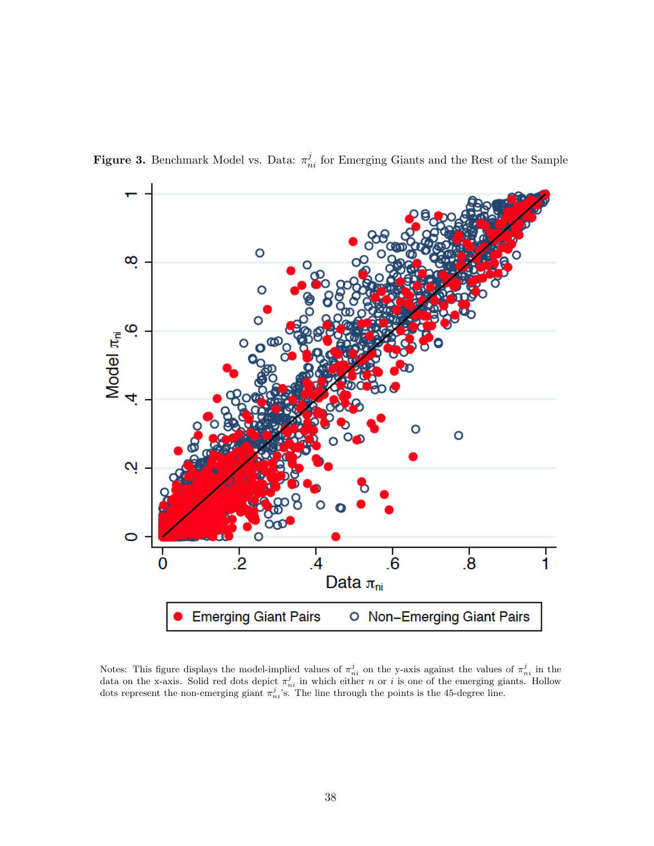

**Figure 3.** Benchmark Model vs. Data:  $\pi_{ni}^{j}$  for Emerging Giants and the Rest of the Sample

Notes: This figure displays the model-implied values of  $\pi_{ni}^j$  on the y-axis against the values of  $\pi_{ni}^j$  in the data on the x-axis. Solid red dots depict  $\pi_{ni}^j$  in which either n or i is one of the emerging giants. Hollow dots represent the non-emerging giant  $\pi_{ni}^j$ 's. The line through the points is the 45-degree line.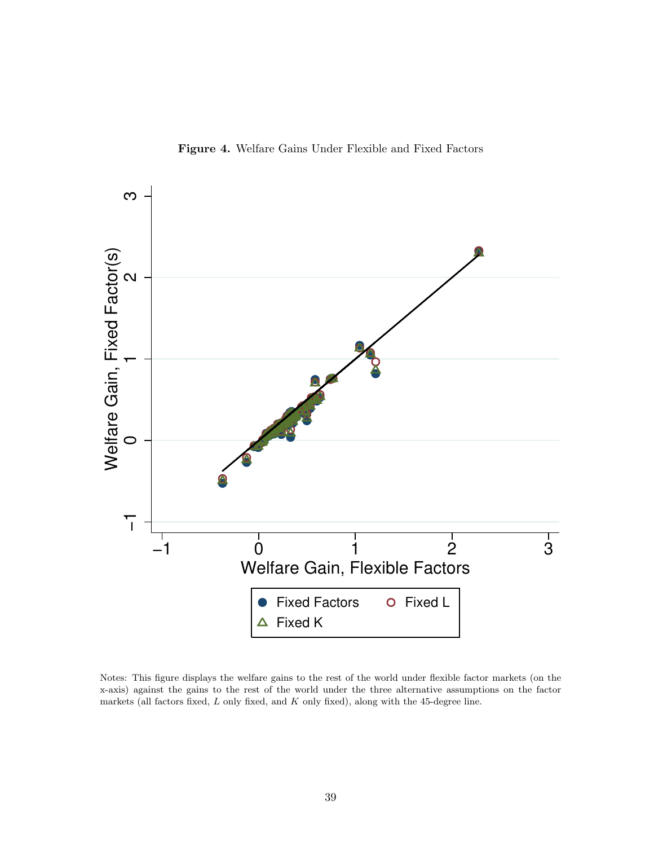



Notes: This figure displays the welfare gains to the rest of the world under flexible factor markets (on the x-axis) against the gains to the rest of the world under the three alternative assumptions on the factor markets (all factors fixed,  $L$  only fixed, and  $K$  only fixed), along with the 45-degree line.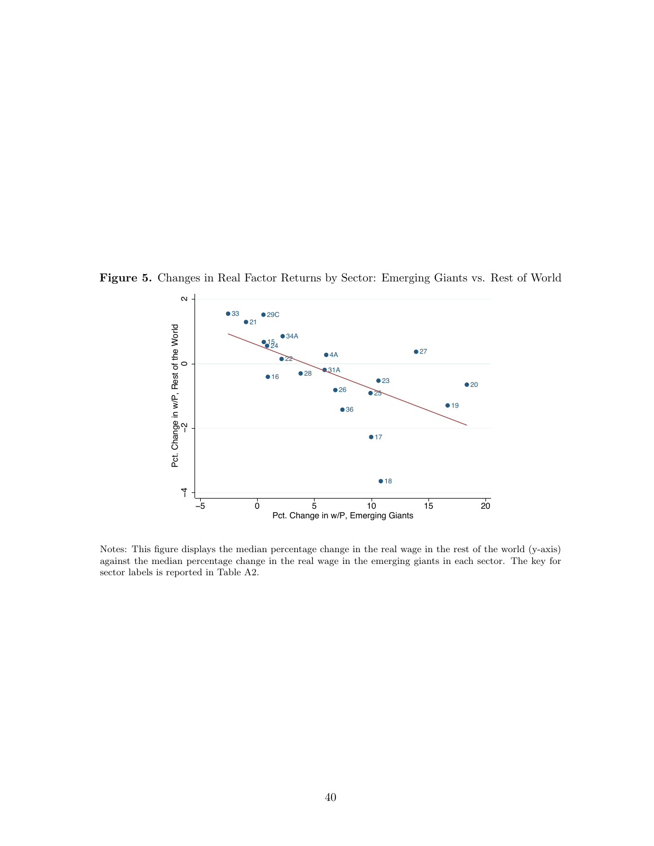

Figure 5. Changes in Real Factor Returns by Sector: Emerging Giants vs. Rest of World

Notes: This figure displays the median percentage change in the real wage in the rest of the world (y-axis) against the median percentage change in the real wage in the emerging giants in each sector. The key for sector labels is reported in Table A2.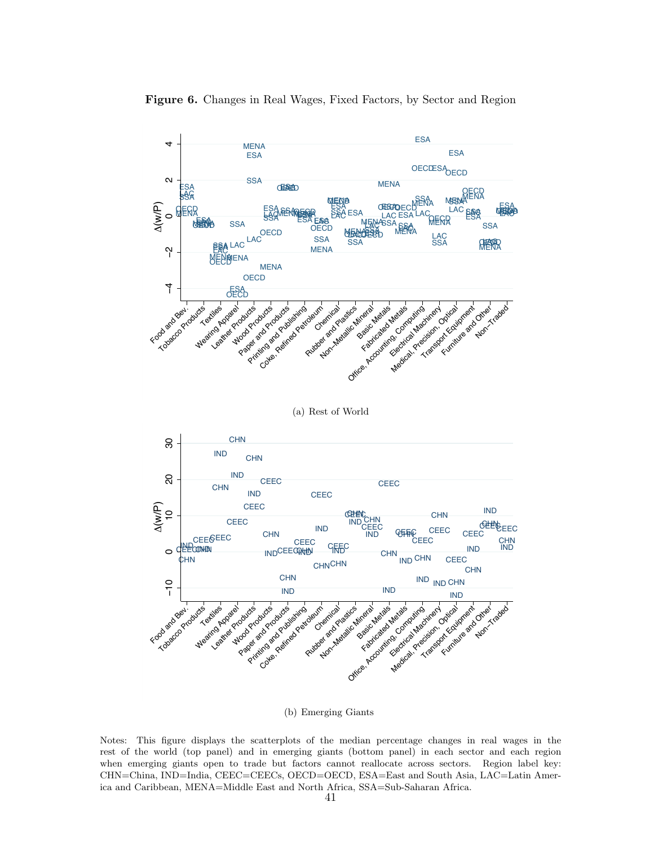

Figure 6. Changes in Real Wages, Fixed Factors, by Sector and Region

(b) Emerging Giants

Notes: This figure displays the scatterplots of the median percentage changes in real wages in the rest of the world (top panel) and in emerging giants (bottom panel) in each sector and each region when emerging giants open to trade but factors cannot reallocate across sectors. Region label key: CHN=China, IND=India, CEEC=CEECs, OECD=OECD, ESA=East and South Asia, LAC=Latin America and Caribbean, MENA=Middle East and North Africa, SSA=Sub-Saharan Africa.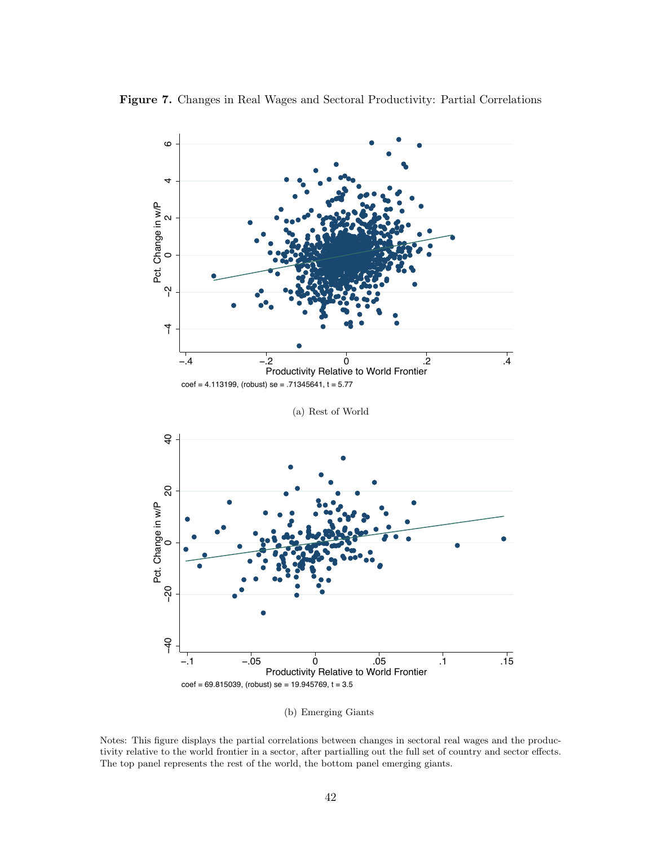

Figure 7. Changes in Real Wages and Sectoral Productivity: Partial Correlations

(b) Emerging Giants

Notes: This figure displays the partial correlations between changes in sectoral real wages and the productivity relative to the world frontier in a sector, after partialling out the full set of country and sector effects. The top panel represents the rest of the world, the bottom panel emerging giants.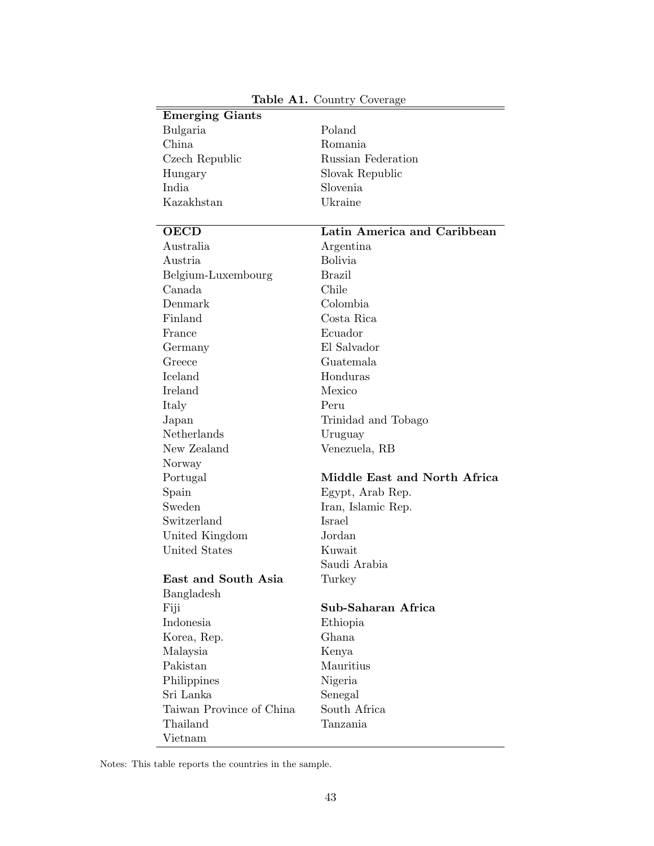| rapio 111. Codney              | $\sim$ $\sim$ $\sim$ $\sim$  |
|--------------------------------|------------------------------|
| <b>Emerging Giants</b>         |                              |
| Bulgaria                       | Poland                       |
| China                          | Romania                      |
| Czech Republic                 | Russian Federation           |
| Hungary                        | Slovak Republic              |
| India                          | Slovenia                     |
| Kazakhstan                     | Ukraine                      |
|                                |                              |
| ${\rm OECD}$                   | Latin America and Caribbean  |
| Australia                      | Argentina                    |
| Austria                        | <b>Bolivia</b>               |
| Belgium-Luxembourg             | <b>Brazil</b>                |
| Canada                         | Chile                        |
| Denmark                        | Colombia                     |
| Finland                        | Costa Rica                   |
| $\mathop{\rm France}\nolimits$ | Ecuador                      |
| Germany                        | El Salvador                  |
| Greece                         | Guatemala                    |
| Iceland                        | Honduras                     |
| Ireland                        | Mexico                       |
| Italy                          | Peru                         |
| Japan                          | Trinidad and Tobago          |
| Netherlands                    | Uruguay                      |
| New Zealand                    | Venezuela, RB                |
| Norway                         |                              |
| Portugal                       | Middle East and North Africa |
| Spain                          | Egypt, Arab Rep.             |
| Sweden                         | Iran, Islamic Rep.           |
| Switzerland                    | Israel                       |
| United Kingdom                 | Jordan                       |
| United States                  | Kuwait                       |
|                                | Saudi Arabia                 |
| East and South Asia            | Turkey                       |
| Bangladesh                     |                              |
| Fiji                           | Sub-Saharan Africa           |
| Indonesia                      | Ethiopia                     |
| Korea, Rep.                    | Ghana                        |
| Malaysia                       | Kenya                        |
| Pakistan                       | Mauritius                    |
| Philippines                    | Nigeria                      |
| Sri Lanka                      | Senegal                      |
| Taiwan Province of China       | South Africa                 |
| Thailand                       | Tanzania                     |
| Vietnam                        |                              |

# Table A1. Country Coverage

Notes: This table reports the countries in the sample.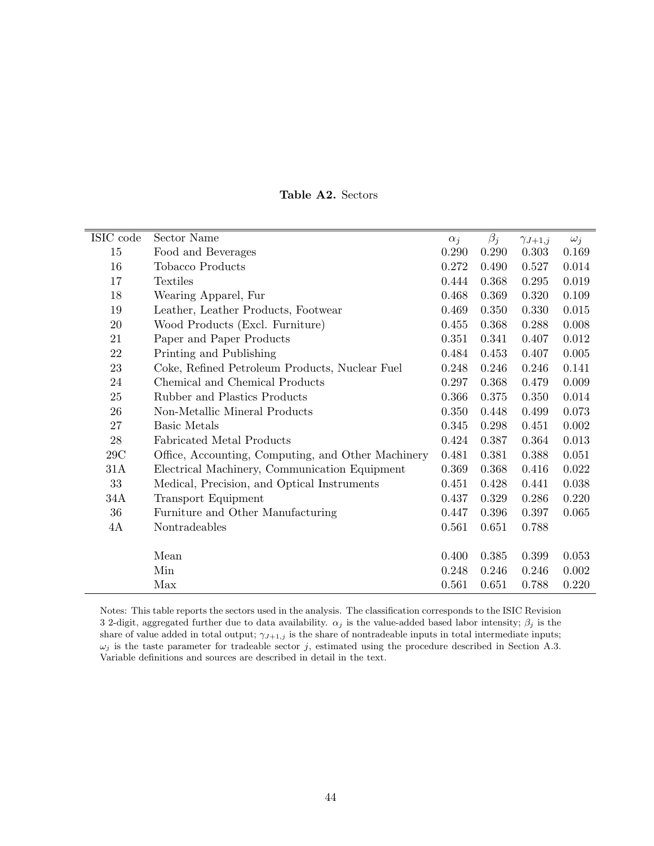| ISIC code   | Sector Name                                        | $\alpha_i$ | $\beta_j$ | $\gamma_{J+1,j}$ | $\omega_i$  |
|-------------|----------------------------------------------------|------------|-----------|------------------|-------------|
| 15          | Food and Beverages                                 | 0.290      | 0.290     | 0.303            | 0.169       |
| 16          | <b>Tobacco Products</b>                            | 0.272      | 0.490     | 0.527            | 0.014       |
| 17          | <b>Textiles</b>                                    | 0.444      | 0.368     | 0.295            | 0.019       |
| 18          | Wearing Apparel, Fur                               | 0.468      | 0.369     | 0.320            | 0.109       |
| 19          | Leather, Leather Products, Footwear                | 0.469      | 0.350     | 0.330            | 0.015       |
| $20\,$      | Wood Products (Excl. Furniture)                    | 0.455      | 0.368     | 0.288            | 0.008       |
| 21          | Paper and Paper Products                           | 0.351      | 0.341     | 0.407            | 0.012       |
| 22          | Printing and Publishing                            | 0.484      | 0.453     | 0.407            | 0.005       |
| 23          | Coke, Refined Petroleum Products, Nuclear Fuel     | 0.248      | 0.246     | 0.246            | 0.141       |
| 24          | Chemical and Chemical Products                     | 0.297      | 0.368     | 0.479            | 0.009       |
| $25\,$      | Rubber and Plastics Products                       | 0.366      | 0.375     | 0.350            | 0.014       |
| $26\,$      | Non-Metallic Mineral Products                      | 0.350      | 0.448     | 0.499            | 0.073       |
| 27          | <b>Basic Metals</b>                                | 0.345      | 0.298     | 0.451            | 0.002       |
| $\sqrt{28}$ | <b>Fabricated Metal Products</b>                   | 0.424      | 0.387     | 0.364            | 0.013       |
| 29C         | Office, Accounting, Computing, and Other Machinery | 0.481      | 0.381     | 0.388            | 0.051       |
| 31A         | Electrical Machinery, Communication Equipment      | 0.369      | 0.368     | 0.416            | $\,0.022\,$ |
| 33          | Medical, Precision, and Optical Instruments        | 0.451      | 0.428     | 0.441            | 0.038       |
| 34A         | <b>Transport Equipment</b>                         | 0.437      | 0.329     | 0.286            | 0.220       |
| 36          | Furniture and Other Manufacturing                  | 0.447      | 0.396     | 0.397            | 0.065       |
| 4A          | Nontradeables                                      | 0.561      | 0.651     | 0.788            |             |
|             |                                                    |            |           |                  |             |
|             | Mean                                               | 0.400      | 0.385     | 0.399            | 0.053       |
|             | Min                                                | 0.248      | 0.246     | 0.246            | 0.002       |
|             | Max                                                | 0.561      | 0.651     | 0.788            | 0.220       |

Notes: This table reports the sectors used in the analysis. The classification corresponds to the ISIC Revision 3 2-digit, aggregated further due to data availability.  $\alpha_j$  is the value-added based labor intensity;  $\beta_j$  is the share of value added in total output;  $\gamma_{J+1,j}$  is the share of nontradeable inputs in total intermediate inputs;  $\omega_j$  is the taste parameter for tradeable sector j, estimated using the procedure described in Section A.3. Variable definitions and sources are described in detail in the text.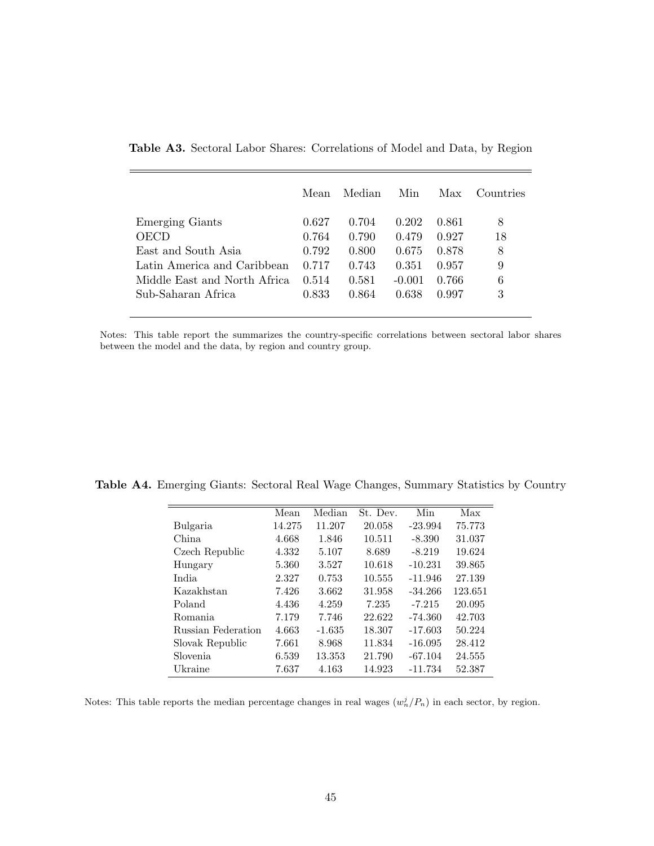|                              | Mean  | Median | Min      | Max   | Countries |
|------------------------------|-------|--------|----------|-------|-----------|
| <b>Emerging Giants</b>       | 0.627 | 0.704  | 0.202    | 0.861 | 8         |
| <b>OECD</b>                  | 0.764 | 0.790  | 0.479    | 0.927 | 18        |
| East and South Asia          | 0.792 | 0.800  | 0.675    | 0.878 | 8         |
| Latin America and Caribbean  | 0.717 | 0.743  | 0.351    | 0.957 | 9         |
| Middle East and North Africa | 0.514 | 0.581  | $-0.001$ | 0.766 | 6         |
| Sub-Saharan Africa           | 0.833 | 0.864  | 0.638    | 0.997 | 3         |
|                              |       |        |          |       |           |

Table A3. Sectoral Labor Shares: Correlations of Model and Data, by Region

Notes: This table report the summarizes the country-specific correlations between sectoral labor shares between the model and the data, by region and country group.

|                    | Mean   | Median   | St. Dev. | Min       | Max     |
|--------------------|--------|----------|----------|-----------|---------|
| Bulgaria           | 14.275 | 11.207   | 20.058   | $-23.994$ | 75.773  |
| China              | 4.668  | 1.846    | 10.511   | $-8.390$  | 31.037  |
| Czech Republic     | 4.332  | 5.107    | 8.689    | $-8.219$  | 19.624  |
| Hungary            | 5.360  | 3.527    | 10.618   | $-10.231$ | 39.865  |
| India              | 2.327  | 0.753    | 10.555   | $-11.946$ | 27.139  |
| Kazakhstan         | 7.426  | 3.662    | 31.958   | $-34.266$ | 123.651 |
| Poland             | 4.436  | 4.259    | 7.235    | $-7.215$  | 20.095  |
| Romania            | 7.179  | 7.746    | 22.622   | $-74.360$ | 42.703  |
| Russian Federation | 4.663  | $-1.635$ | 18.307   | $-17.603$ | 50.224  |
| Slovak Republic    | 7.661  | 8.968    | 11.834   | $-16.095$ | 28.412  |
| Slovenia           | 6.539  | 13.353   | 21.790   | $-67.104$ | 24.555  |
| Ukraine            | 7.637  | 4.163    | 14.923   | $-11.734$ | 52.387  |

Table A4. Emerging Giants: Sectoral Real Wage Changes, Summary Statistics by Country

Notes: This table reports the median percentage changes in real wages  $(w_n^j/P_n)$  in each sector, by region.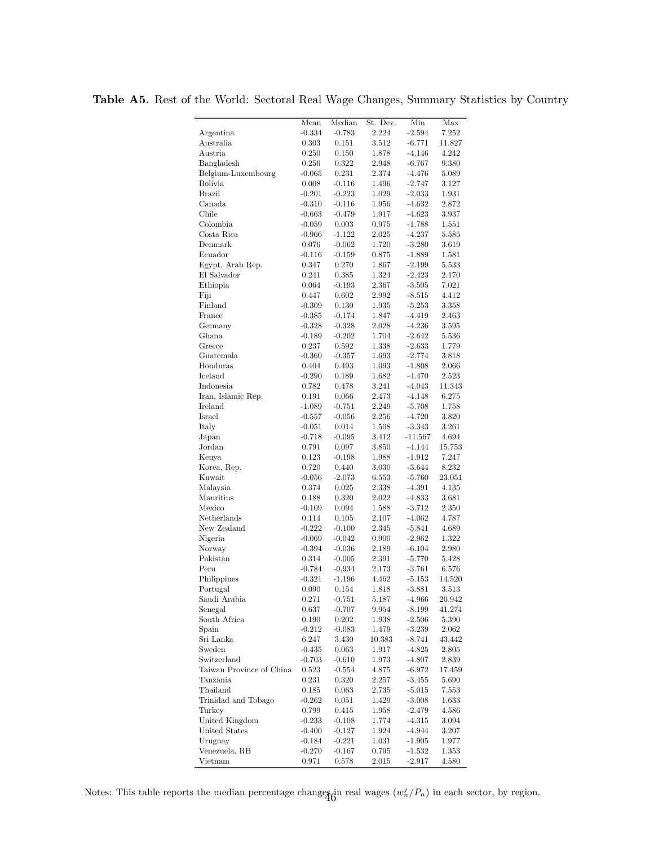|                          | Mean              | Median            | St. Dev.       | Min                  | Max            |
|--------------------------|-------------------|-------------------|----------------|----------------------|----------------|
| Argentina                | $-0.334$          | $-0.783$          | 2.224          | $-2.594$             | 7.252          |
| Australia                | 0.303             | 0.151             | 3.512          | $-6.771$             | 11.827         |
| Austria                  | 0.250             | 0.150             | 1.878          | $-4.146$             | 4.242          |
| Bangladesh               | 0.256             | 0.322             | 2.948          | $-6.767$             | 9.380          |
| Belgium-Luxembourg       | $-0.065$          | 0.231             | 2.374          | -4.476               | 5.089          |
| Bolivia                  | 0.008             | $-0.116$          | 1.496          | $-2.747$             | 3.127          |
| <b>Brazil</b>            | $-0.201$          | $-0.223$          | 1.029          | $-2.033$             | 1.931          |
| Canada                   | $-0.310$          | $-0.116$          | 1.956          | $-4.632$             | 2.872          |
| Chile                    | $-0.663$          | $-0.479$          | 1.917          | $-4.623$             | 3.937          |
| Colombia                 | $-0.059$          | 0.003             | 0.975          | $-1.788$             | 1.551          |
| Costa Rica               | $-0.966$          | $-1.122$          | 2.025          | -4.237               | $5.585\,$      |
| Denmark                  | 0.076             | $-0.062$          | 1.720          | $-3.280$             | 3.619          |
| Ecuador                  | $-0.116$          | $-0.159$          | 0.875          | $-1.889$             | 1.581          |
| Egypt, Arab Rep.         | 0.347             | 0.270             | 1.867          | $-2.199$             | 5.533          |
| El Salvador              | 0.241             | 0.385             | 1.324          | $-2.423$             | 2.170          |
| Ethiopia                 | 0.064             | $-0.193$          | 2.367          | $-3.505$             | 7.021          |
| Fiji                     | 0.447             | 0.602             | 2.992          | $-8.515$             | 4.412          |
| Finland                  | $-0.309$          | 0.130             | 1.935          | $-5.253$             | 3.358          |
| France                   | $-0.385$          | $-0.174$          | 1.847          | -4.419               | 2.463          |
| Germany                  | $-0.328$          | $-0.328$          | 2.028          | $-4.236$             | 3.595          |
| Ghana                    | $-0.189$          | $-0.202$          | 1.704          | $-2.642$             | 5.536          |
| Greece<br>Guatemala      | 0.237             | 0.592             | 1.338          | $-2.633$             | 1.779          |
| Honduras                 | $-0.360$          | $-0.357$          | 1.693          | $-2.774$             | 3.818          |
| Iceland                  | 0.404             | 0.493             | 1.093          | $-1.808$             | 2.066          |
| Indonesia                | $-0.290$          | 0.189             | 1.682          | $-4.470$<br>$-4.043$ | 2.523          |
| Iran, Islamic Rep.       | 0.782             | 0.478             | 3.241          |                      | 11.343         |
| Ireland                  | 0.191<br>$-1.089$ | 0.066<br>$-0.751$ | 2.473<br>2.249 | $-4.148$<br>$-5.708$ | 6.275<br>1.758 |
| Israel                   | $-0.557$          | $-0.056$          | 2.256          | $-4.720$             | 3.820          |
| Italy                    | $-0.051$          | 0.014             | 1.508          | $-3.343$             | 3.261          |
| Japan                    | $-0.718$          | $-0.095$          | 3.412          | $-11.567$            | 4.694          |
| Jordan                   | 0.791             | 0.097             | 3.850          | -4.144               | 15.753         |
| Kenya                    | 0.123             | $-0.198$          | 1.988          | $-1.912$             | 7.247          |
| Korea, Rep.              | 0.720             | 0.440             | 3.030          | $-3.644$             | 8.232          |
| Kuwait                   | $-0.056$          | $-2.073$          | 6.553          | $-5.760$             | $23.051\,$     |
| Malaysia                 | 0.374             | 0.025             | 2.338          | $-4.391$             | 4.135          |
| Mauritius                | 0.188             | 0.320             | 2.022          | $-4.833$             | 3.681          |
| Mexico                   | $-0.109$          | 0.094             | 1.588          | $-3.712$             | 2.350          |
| Netherlands              | 0.114             | 0.105             | 2.107          | $-4.062$             | 4.787          |
| New Zealand              | $-0.222$          | $-0.100$          | 2.345          | $-5.841$             | 4.689          |
| Nigeria                  | $-0.069$          | $-0.042$          | 0.900          | $-2.962$             | 1.322          |
| Norway                   | $-0.394$          | $-0.036$          | 2.189          | $-6.104$             | 2.980          |
| Pakistan                 | 0.314             | $-0.005$          | 2.391          | $-5.770$             | 5.428          |
| Peru                     | $-0.784$          | $-0.934$          | 2.173          | $-3.761$             | 6.576          |
| Philippines              | $-0.321$          | $-1.196$          | 4.462          | $-5.153$             | 14.520         |
| Portugal                 | 0.090             | 0.154             | 1.818          | $-3.881$             | 3.513          |
| Saudi Arabia             | 0.271             | $-0.751$          | 5.187          | $-4.966$             | 20.942         |
| Senegal                  | 0.637             | $-0.707$          | 9.954          | $-8.199$             | 41.274         |
| South Africa             | 0.190             | 0.202             | 1.938          | $-2.506$             | 5.390          |
| Spain                    | $-0.212$          | $-0.083$          | 1.479          | $-3.239$             | 2.062          |
| Sri Lanka                | 6.247             | 3.430             | 10.383         | $-8.741$             | 43.442         |
| Sweden                   | $-0.435$          | 0.063             | 1.917          | $-4.825$             | 2.805          |
| Switzerland              | $-0.703$          | $-0.610$          | 1.973          | $-4.807$             | 2.839          |
| Taiwan Province of China | 0.523             | $-0.554$          | 4.875          | -6.972               | 17.459         |
| Tanzania                 | 0.231             | 0.320             | 2.257          | $-3.455$             | 5.690          |
| Thailand                 | 0.185             | 0.063             | 2.735          | $-5.015$             | 7.553          |
| Trinidad and Tobago      | $-0.262$          | 0.051             | 1.429          | $-3.008$             | 1.633          |
| Turkey                   | 0.799             | 0.415             | 1.958          | $-2.479$             | 4.586          |
| United Kingdom           | $-0.233$          | $-0.108$          | 1.774          | $-4.315$             | 3.094          |
| United States            | $-0.400$          | $-0.127$          | 1.924          | -4.944               | 3.207          |
| Uruguay                  | $-0.184$          | $-0.221$          | 1.031          | $-1.905$             | 1.977          |
| Venezuela, RB            | $-0.270$          | $-0.167$          | 0.795          | $-1.532$             | 1.353          |
| Vietnam                  | 0.971             | 0.578             | 2.015          | -2.917               | 4.580          |

Table A5. Rest of the World: Sectoral Real Wage Changes, Summary Statistics by Country

Notes: This table reports the median percentage changes  $\hat{q}$  real wages  $(w_n^j/P_n)$  in each sector, by region.